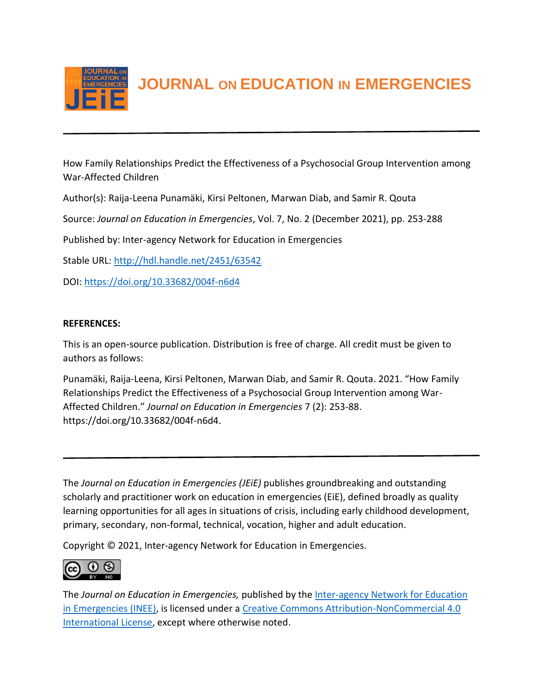

**JOURNAL ON EDUCATION IN EMERGENCIES**

How Family Relationships Predict the Effectiveness of a Psychosocial Group Intervention among War-Affected Children

Author(s): Raija-Leena Punamäki, Kirsi Peltonen, Marwan Diab, and Samir R. Qouta

Source: *Journal on Education in Emergencies*, Vol. 7, No. 2 (December 2021), pp. 253-288

Published by: Inter-agency Network for Education in Emergencies

Stable URL:<http://hdl.handle.net/2451/63542>

DOI:<https://doi.org/10.33682/004f-n6d4>

## **REFERENCES:**

This is an open-source publication. Distribution is free of charge. All credit must be given to authors as follows:

Punamäki, Raija-Leena, Kirsi Peltonen, Marwan Diab, and Samir R. Qouta. 2021. "How Family Relationships Predict the Effectiveness of a Psychosocial Group Intervention among War-Affected Children." *Journal on Education in Emergencies* 7 (2): 253-88. https://doi.org/10.33682/004f-n6d4.

The *Journal on Education in Emergencies (JEiE)* publishes groundbreaking and outstanding scholarly and practitioner work on education in emergencies (EiE), defined broadly as quality learning opportunities for all ages in situations of crisis, including early childhood development, primary, secondary, non-formal, technical, vocation, higher and adult education.

Copyright © 2021, Inter-agency Network for Education in Emergencies.



The *Journal on Education in Emergencies,* published by the [Inter-agency Network for Education](https://inee.org/evidence/journal)  [in Emergencies \(INEE\),](https://inee.org/evidence/journal) is licensed under a [Creative Commons Attribution-NonCommercial 4.0](https://creativecommons.org/licenses/by-nc/4.0/)  [International License,](https://creativecommons.org/licenses/by-nc/4.0/) except where otherwise noted.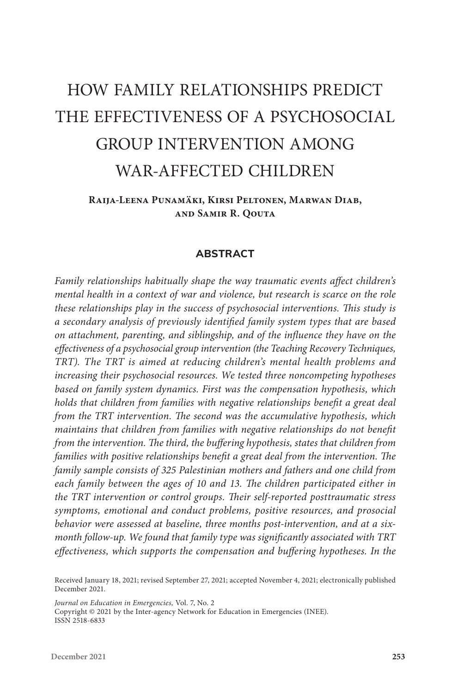# HOW FAMILY RELATIONSHIPS PREDICT THE EFFECTIVENESS OF A PSYCHOSOCIAL GROUP INTERVENTION AMONG WAR-AFFECTED CHILDREN

**Raija-Leena Punamäki, Kirsi Peltonen, Marwan Diab, and Samir R. Qouta**

#### **ABSTRACT**

*Family relationships habitually shape the way traumatic events affect children's mental health in a context of war and violence, but research is scarce on the role these relationships play in the success of psychosocial interventions. This study is a secondary analysis of previously identified family system types that are based on attachment, parenting, and siblingship, and of the influence they have on the effectiveness of a psychosocial group intervention (the Teaching Recovery Techniques, TRT). The TRT is aimed at reducing children's mental health problems and increasing their psychosocial resources. We tested three noncompeting hypotheses based on family system dynamics. First was the compensation hypothesis, which holds that children from families with negative relationships benefit a great deal from the TRT intervention. The second was the accumulative hypothesis, which maintains that children from families with negative relationships do not benefit from the intervention. The third, the buffering hypothesis, states that children from families with positive relationships benefit a great deal from the intervention. The family sample consists of 325 Palestinian mothers and fathers and one child from*  each family between the ages of 10 and 13. The children participated either in *the TRT intervention or control groups. Their self-reported posttraumatic stress symptoms, emotional and conduct problems, positive resources, and prosocial behavior were assessed at baseline, three months post-intervention, and at a sixmonth follow-up. We found that family type was significantly associated with TRT effectiveness, which supports the compensation and buffering hypotheses. In the* 

*Journal on Education in Emergencies,* Vol. 7, No. 2

Copyright © 2021 by the Inter-agency Network for Education in Emergencies (INEE). ISSN 2518-6833

Received January 18, 2021; revised September 27, 2021; accepted November 4, 2021; electronically published December 2021.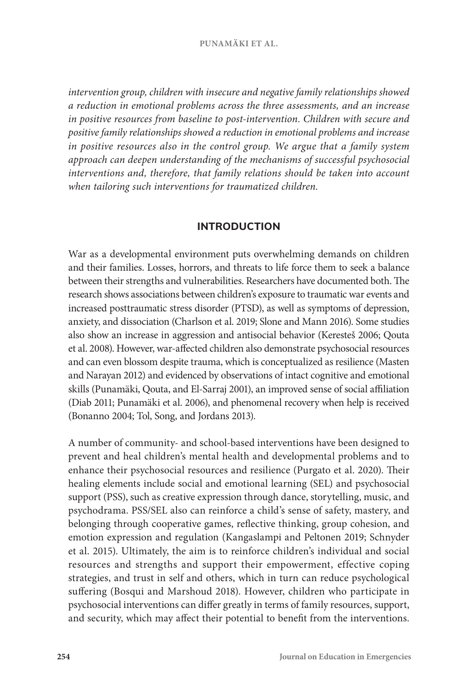*intervention group, children with insecure and negative family relationships showed a reduction in emotional problems across the three assessments, and an increase in positive resources from baseline to post-intervention. Children with secure and positive family relationships showed a reduction in emotional problems and increase*  in positive resources also in the control group. We argue that a family system *approach can deepen understanding of the mechanisms of successful psychosocial interventions and, therefore, that family relations should be taken into account when tailoring such interventions for traumatized children.*

#### **INTRODUCTION**

War as a developmental environment puts overwhelming demands on children and their families. Losses, horrors, and threats to life force them to seek a balance between their strengths and vulnerabilities. Researchers have documented both. The research shows associations between children's exposure to traumatic war events and increased posttraumatic stress disorder (PTSD), as well as symptoms of depression, anxiety, and dissociation (Charlson et al. 2019; Slone and Mann 2016). Some studies also show an increase in aggression and antisocial behavior (Keresteš 2006; Qouta et al. 2008). However, war-affected children also demonstrate psychosocial resources and can even blossom despite trauma, which is conceptualized as resilience (Masten and Narayan 2012) and evidenced by observations of intact cognitive and emotional skills (Punamäki, Qouta, and El-Sarraj 2001), an improved sense of social affiliation (Diab 2011; Punamäki et al. 2006), and phenomenal recovery when help is received (Bonanno 2004; Tol, Song, and Jordans 2013).

A number of community- and school-based interventions have been designed to prevent and heal children's mental health and developmental problems and to enhance their psychosocial resources and resilience (Purgato et al. 2020). Their healing elements include social and emotional learning (SEL) and psychosocial support (PSS), such as creative expression through dance, storytelling, music, and psychodrama. PSS/SEL also can reinforce a child's sense of safety, mastery, and belonging through cooperative games, reflective thinking, group cohesion, and emotion expression and regulation (Kangaslampi and Peltonen 2019; Schnyder et al. 2015). Ultimately, the aim is to reinforce children's individual and social resources and strengths and support their empowerment, effective coping strategies, and trust in self and others, which in turn can reduce psychological suffering (Bosqui and Marshoud 2018). However, children who participate in psychosocial interventions can differ greatly in terms of family resources, support, and security, which may affect their potential to benefit from the interventions.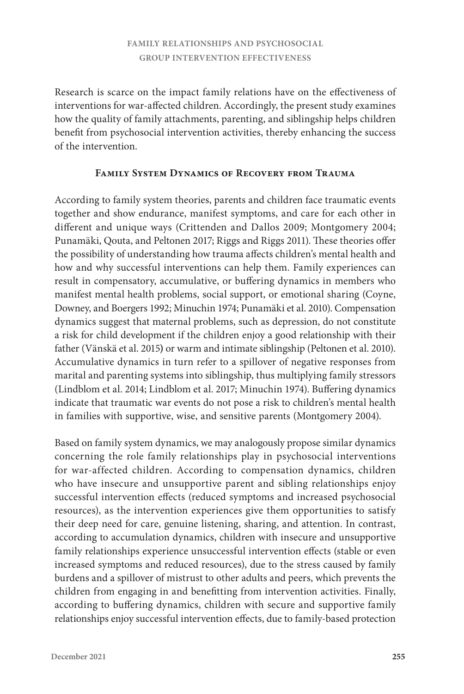Research is scarce on the impact family relations have on the effectiveness of interventions for war-affected children. Accordingly, the present study examines how the quality of family attachments, parenting, and siblingship helps children benefit from psychosocial intervention activities, thereby enhancing the success of the intervention.

## **Family System Dynamics of Recovery from Trauma**

According to family system theories, parents and children face traumatic events together and show endurance, manifest symptoms, and care for each other in different and unique ways (Crittenden and Dallos 2009; Montgomery 2004; Punamäki, Qouta, and Peltonen 2017; Riggs and Riggs 2011). These theories offer the possibility of understanding how trauma affects children's mental health and how and why successful interventions can help them. Family experiences can result in compensatory, accumulative, or buffering dynamics in members who manifest mental health problems, social support, or emotional sharing (Coyne, Downey, and Boergers 1992; Minuchin 1974; Punamäki et al. 2010). Compensation dynamics suggest that maternal problems, such as depression, do not constitute a risk for child development if the children enjoy a good relationship with their father (Vänskä et al. 2015**)** or warm and intimate siblingship (Peltonen et al. 2010). Accumulative dynamics in turn refer to a spillover of negative responses from marital and parenting systems into siblingship, thus multiplying family stressors (Lindblom et al. 2014; Lindblom et al. 2017; Minuchin 1974). Buffering dynamics indicate that traumatic war events do not pose a risk to children's mental health in families with supportive, wise, and sensitive parents (Montgomery 2004).

Based on family system dynamics, we may analogously propose similar dynamics concerning the role family relationships play in psychosocial interventions for war-affected children. According to compensation dynamics, children who have insecure and unsupportive parent and sibling relationships enjoy successful intervention effects (reduced symptoms and increased psychosocial resources), as the intervention experiences give them opportunities to satisfy their deep need for care, genuine listening, sharing, and attention. In contrast, according to accumulation dynamics, children with insecure and unsupportive family relationships experience unsuccessful intervention effects (stable or even increased symptoms and reduced resources), due to the stress caused by family burdens and a spillover of mistrust to other adults and peers, which prevents the children from engaging in and benefitting from intervention activities. Finally, according to buffering dynamics, children with secure and supportive family relationships enjoy successful intervention effects, due to family-based protection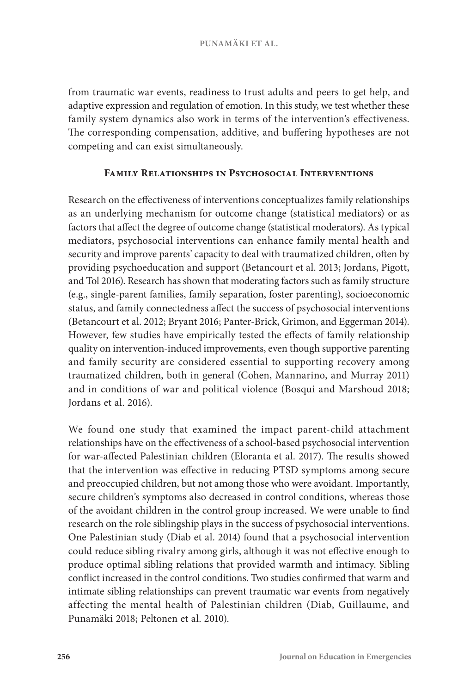from traumatic war events, readiness to trust adults and peers to get help, and adaptive expression and regulation of emotion. In this study, we test whether these family system dynamics also work in terms of the intervention's effectiveness. The corresponding compensation, additive, and buffering hypotheses are not competing and can exist simultaneously.

## **Family Relationships in Psychosocial Interventions**

Research on the effectiveness of interventions conceptualizes family relationships as an underlying mechanism for outcome change (statistical mediators) or as factors that affect the degree of outcome change (statistical moderators). As typical mediators, psychosocial interventions can enhance family mental health and security and improve parents' capacity to deal with traumatized children, often by providing psychoeducation and support (Betancourt et al. 2013; Jordans, Pigott, and Tol 2016). Research has shown that moderating factors such as family structure (e.g., single-parent families, family separation, foster parenting), socioeconomic status, and family connectedness affect the success of psychosocial interventions (Betancourt et al. 2012; Bryant 2016; Panter-Brick, Grimon, and Eggerman 2014). However, few studies have empirically tested the effects of family relationship quality on intervention-induced improvements, even though supportive parenting and family security are considered essential to supporting recovery among traumatized children, both in general (Cohen, Mannarino, and Murray 2011) and in conditions of war and political violence (Bosqui and Marshoud 2018; Jordans et al. 2016).

We found one study that examined the impact parent-child attachment relationships have on the effectiveness of a school-based psychosocial intervention for war-affected Palestinian children (Eloranta et al. 2017). The results showed that the intervention was effective in reducing PTSD symptoms among secure and preoccupied children, but not among those who were avoidant. Importantly, secure children's symptoms also decreased in control conditions, whereas those of the avoidant children in the control group increased. We were unable to find research on the role siblingship plays in the success of psychosocial interventions. One Palestinian study (Diab et al. 2014) found that a psychosocial intervention could reduce sibling rivalry among girls, although it was not effective enough to produce optimal sibling relations that provided warmth and intimacy. Sibling conflict increased in the control conditions. Two studies confirmed that warm and intimate sibling relationships can prevent traumatic war events from negatively affecting the mental health of Palestinian children (Diab, Guillaume, and Punamäki 2018; Peltonen et al. 2010).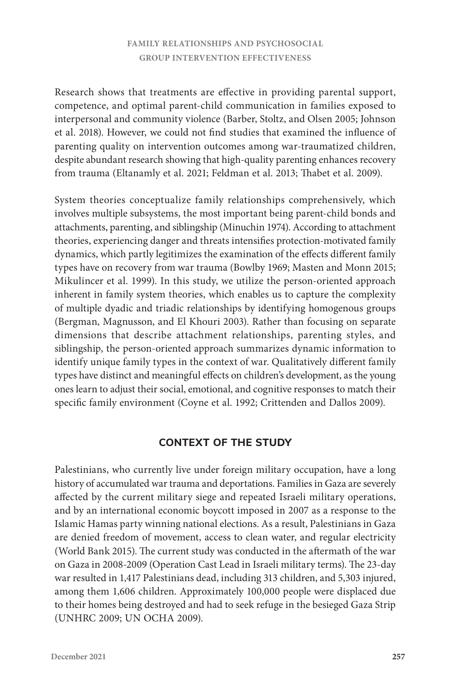Research shows that treatments are effective in providing parental support, competence, and optimal parent-child communication in families exposed to interpersonal and community violence (Barber, Stoltz, and Olsen 2005; Johnson et al. 2018). However, we could not find studies that examined the influence of parenting quality on intervention outcomes among war-traumatized children, despite abundant research showing that high-quality parenting enhances recovery from trauma (Eltanamly et al. 2021; Feldman et al. 2013; Thabet et al. 2009).

System theories conceptualize family relationships comprehensively, which involves multiple subsystems, the most important being parent-child bonds and attachments, parenting, and siblingship (Minuchin 1974). According to attachment theories, experiencing danger and threats intensifies protection-motivated family dynamics, which partly legitimizes the examination of the effects different family types have on recovery from war trauma (Bowlby 1969; Masten and Monn 2015; Mikulincer et al. 1999). In this study, we utilize the person-oriented approach inherent in family system theories, which enables us to capture the complexity of multiple dyadic and triadic relationships by identifying homogenous groups (Bergman, Magnusson, and El Khouri 2003). Rather than focusing on separate dimensions that describe attachment relationships, parenting styles, and siblingship, the person-oriented approach summarizes dynamic information to identify unique family types in the context of war. Qualitatively different family types have distinct and meaningful effects on children's development, as the young ones learn to adjust their social, emotional, and cognitive responses to match their specific family environment (Coyne et al. 1992; Crittenden and Dallos 2009).

## **CONTEXT OF THE STUDY**

Palestinians, who currently live under foreign military occupation, have a long history of accumulated war trauma and deportations. Families in Gaza are severely affected by the current military siege and repeated Israeli military operations, and by an international economic boycott imposed in 2007 as a response to the Islamic Hamas party winning national elections. As a result, Palestinians in Gaza are denied freedom of movement, access to clean water, and regular electricity (World Bank 2015). The current study was conducted in the aftermath of the war on Gaza in 2008-2009 (Operation Cast Lead in Israeli military terms). The 23-day war resulted in 1,417 Palestinians dead, including 313 children, and 5,303 injured, among them 1,606 children. Approximately 100,000 people were displaced due to their homes being destroyed and had to seek refuge in the besieged Gaza Strip (UNHRC 2009; UN OCHA 2009).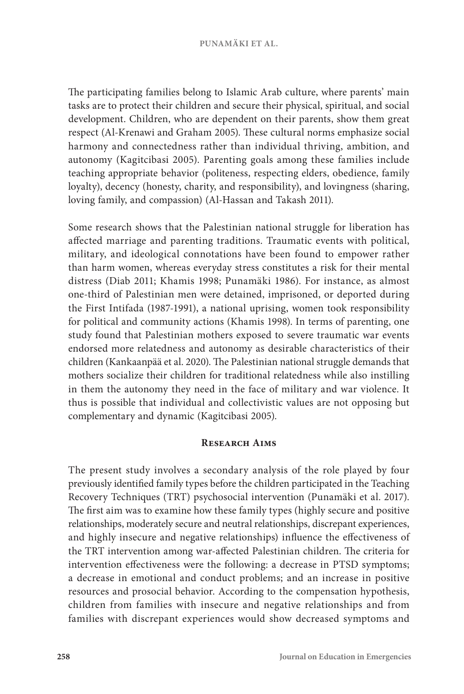#### **PUNAMÄKI ET AL.**

The participating families belong to Islamic Arab culture, where parents' main tasks are to protect their children and secure their physical, spiritual, and social development. Children, who are dependent on their parents, show them great respect (Al-Krenawi and Graham 2005). These cultural norms emphasize social harmony and connectedness rather than individual thriving, ambition, and autonomy (Kagitcibasi 2005). Parenting goals among these families include teaching appropriate behavior (politeness, respecting elders, obedience, family loyalty), decency (honesty, charity, and responsibility), and lovingness (sharing, loving family, and compassion) (Al-Hassan and Takash 2011).

Some research shows that the Palestinian national struggle for liberation has affected marriage and parenting traditions. Traumatic events with political, military, and ideological connotations have been found to empower rather than harm women, whereas everyday stress constitutes a risk for their mental distress (Diab 2011; Khamis 1998; Punamäki 1986). For instance, as almost one-third of Palestinian men were detained, imprisoned, or deported during the First Intifada (1987-1991), a national uprising, women took responsibility for political and community actions (Khamis 1998). In terms of parenting, one study found that Palestinian mothers exposed to severe traumatic war events endorsed more relatedness and autonomy as desirable characteristics of their children (Kankaanpää et al. 2020). The Palestinian national struggle demands that mothers socialize their children for traditional relatedness while also instilling in them the autonomy they need in the face of military and war violence. It thus is possible that individual and collectivistic values are not opposing but complementary and dynamic (Kagitcibasi 2005).

#### **Research Aims**

The present study involves a secondary analysis of the role played by four previously identified family types before the children participated in the Teaching Recovery Techniques (TRT) psychosocial intervention (Punamäki et al. 2017). The first aim was to examine how these family types (highly secure and positive relationships, moderately secure and neutral relationships, discrepant experiences, and highly insecure and negative relationships) influence the effectiveness of the TRT intervention among war-affected Palestinian children. The criteria for intervention effectiveness were the following: a decrease in PTSD symptoms; a decrease in emotional and conduct problems; and an increase in positive resources and prosocial behavior. According to the compensation hypothesis, children from families with insecure and negative relationships and from families with discrepant experiences would show decreased symptoms and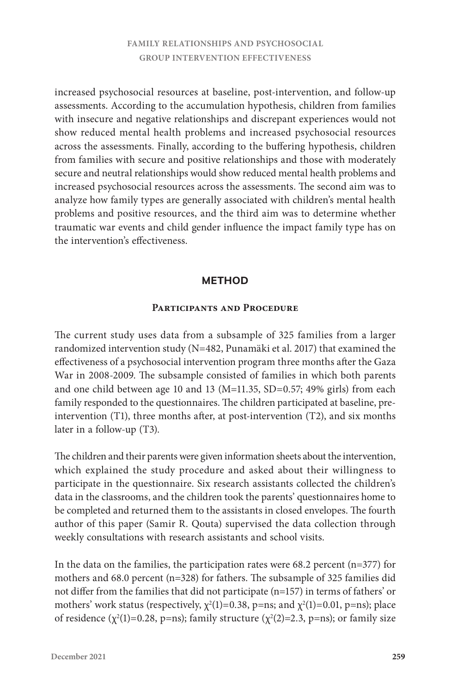increased psychosocial resources at baseline, post-intervention, and follow-up assessments. According to the accumulation hypothesis, children from families with insecure and negative relationships and discrepant experiences would not show reduced mental health problems and increased psychosocial resources across the assessments. Finally, according to the buffering hypothesis, children from families with secure and positive relationships and those with moderately secure and neutral relationships would show reduced mental health problems and increased psychosocial resources across the assessments. The second aim was to analyze how family types are generally associated with children's mental health problems and positive resources, and the third aim was to determine whether traumatic war events and child gender influence the impact family type has on the intervention's effectiveness.

## **METHOD**

#### **Participants and Procedure**

The current study uses data from a subsample of 325 families from a larger randomized intervention study (N=482, Punamäki et al. 2017) that examined the effectiveness of a psychosocial intervention program three months after the Gaza War in 2008-2009. The subsample consisted of families in which both parents and one child between age 10 and 13 (M=11.35, SD=0.57; 49% girls) from each family responded to the questionnaires. The children participated at baseline, preintervention (T1), three months after, at post-intervention (T2), and six months later in a follow-up (T3).

The children and their parents were given information sheets about the intervention, which explained the study procedure and asked about their willingness to participate in the questionnaire. Six research assistants collected the children's data in the classrooms, and the children took the parents' questionnaires home to be completed and returned them to the assistants in closed envelopes. The fourth author of this paper (Samir R. Qouta) supervised the data collection through weekly consultations with research assistants and school visits.

In the data on the families, the participation rates were  $68.2$  percent (n=377) for mothers and 68.0 percent (n=328) for fathers. The subsample of 325 families did not differ from the families that did not participate (n=157) in terms of fathers' or mothers' work status (respectively,  $\chi^2(1)=0.38$ , p=ns; and  $\chi^2(1)=0.01$ , p=ns); place of residence ( $\chi^2(1)=0.28$ , p=ns); family structure ( $\chi^2(2)=2.3$ , p=ns); or family size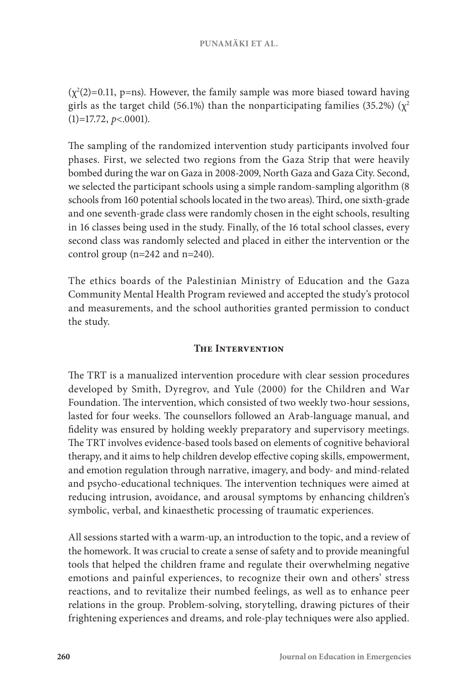$(\chi^2(2)=0.11, p=ns)$ . However, the family sample was more biased toward having girls as the target child (56.1%) than the nonparticipating families (35.2%) ( $\chi^2$ (1)=17.72, *p*<.0001).

The sampling of the randomized intervention study participants involved four phases. First, we selected two regions from the Gaza Strip that were heavily bombed during the war on Gaza in 2008-2009, North Gaza and Gaza City. Second, we selected the participant schools using a simple random-sampling algorithm (8 schools from 160 potential schools located in the two areas). Third, one sixth-grade and one seventh-grade class were randomly chosen in the eight schools, resulting in 16 classes being used in the study. Finally, of the 16 total school classes, every second class was randomly selected and placed in either the intervention or the control group (n=242 and n=240).

The ethics boards of the Palestinian Ministry of Education and the Gaza Community Mental Health Program reviewed and accepted the study's protocol and measurements, and the school authorities granted permission to conduct the study.

## **The Intervention**

The TRT is a manualized intervention procedure with clear session procedures developed by Smith, Dyregrov, and Yule (2000) for the Children and War Foundation. The intervention, which consisted of two weekly two-hour sessions, lasted for four weeks. The counsellors followed an Arab-language manual, and fidelity was ensured by holding weekly preparatory and supervisory meetings. The TRT involves evidence-based tools based on elements of cognitive behavioral therapy, and it aims to help children develop effective coping skills, empowerment, and emotion regulation through narrative, imagery, and body- and mind-related and psycho-educational techniques. The intervention techniques were aimed at reducing intrusion, avoidance, and arousal symptoms by enhancing children's symbolic, verbal, and kinaesthetic processing of traumatic experiences.

All sessions started with a warm-up, an introduction to the topic, and a review of the homework. It was crucial to create a sense of safety and to provide meaningful tools that helped the children frame and regulate their overwhelming negative emotions and painful experiences, to recognize their own and others' stress reactions, and to revitalize their numbed feelings, as well as to enhance peer relations in the group. Problem-solving, storytelling, drawing pictures of their frightening experiences and dreams, and role-play techniques were also applied.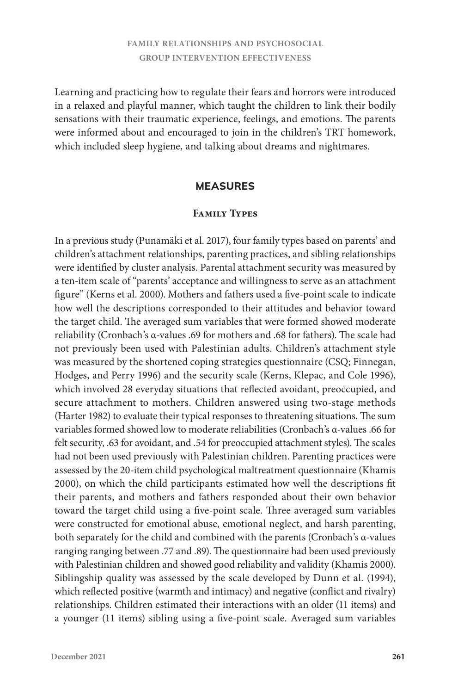Learning and practicing how to regulate their fears and horrors were introduced in a relaxed and playful manner, which taught the children to link their bodily sensations with their traumatic experience, feelings, and emotions. The parents were informed about and encouraged to join in the children's TRT homework, which included sleep hygiene, and talking about dreams and nightmares.

#### **MEASURES**

#### **Family Types**

In a previous study (Punamäki et al. 2017), four family types based on parents' and children's attachment relationships, parenting practices, and sibling relationships were identified by cluster analysis. Parental attachment security was measured by a ten-item scale of "parents' acceptance and willingness to serve as an attachment figure" (Kerns et al. 2000). Mothers and fathers used a five-point scale to indicate how well the descriptions corresponded to their attitudes and behavior toward the target child. The averaged sum variables that were formed showed moderate reliability (Cronbach's α-values .69 for mothers and .68 for fathers). The scale had not previously been used with Palestinian adults. Children's attachment style was measured by the shortened coping strategies questionnaire (CSQ; Finnegan, Hodges, and Perry 1996) and the security scale (Kerns, Klepac, and Cole 1996), which involved 28 everyday situations that reflected avoidant, preoccupied, and secure attachment to mothers. Children answered using two-stage methods (Harter 1982) to evaluate their typical responses to threatening situations. The sum variables formed showed low to moderate reliabilities (Cronbach's α-values .66 for felt security, .63 for avoidant, and .54 for preoccupied attachment styles). The scales had not been used previously with Palestinian children. Parenting practices were assessed by the 20-item child psychological maltreatment questionnaire (Khamis 2000), on which the child participants estimated how well the descriptions fit their parents, and mothers and fathers responded about their own behavior toward the target child using a five-point scale. Three averaged sum variables were constructed for emotional abuse, emotional neglect, and harsh parenting, both separately for the child and combined with the parents (Cronbach's α-values ranging ranging between .77 and .89). The questionnaire had been used previously with Palestinian children and showed good reliability and validity (Khamis 2000). Siblingship quality was assessed by the scale developed by Dunn et al. (1994), which reflected positive (warmth and intimacy) and negative (conflict and rivalry) relationships. Children estimated their interactions with an older (11 items) and a younger (11 items) sibling using a five-point scale. Averaged sum variables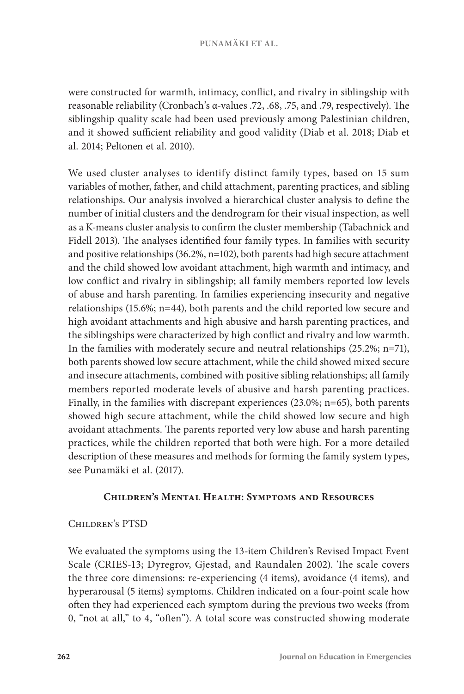were constructed for warmth, intimacy, conflict, and rivalry in siblingship with reasonable reliability (Cronbach's α-values .72, .68, .75, and .79, respectively). The siblingship quality scale had been used previously among Palestinian children, and it showed sufficient reliability and good validity (Diab et al. 2018; Diab et al. 2014; Peltonen et al. 2010).

We used cluster analyses to identify distinct family types, based on 15 sum variables of mother, father, and child attachment, parenting practices, and sibling relationships. Our analysis involved a hierarchical cluster analysis to define the number of initial clusters and the dendrogram for their visual inspection, as well as a K-means cluster analysis to confirm the cluster membership (Tabachnick and Fidell 2013). The analyses identified four family types. In families with security and positive relationships (36.2%, n=102), both parents had high secure attachment and the child showed low avoidant attachment, high warmth and intimacy, and low conflict and rivalry in siblingship; all family members reported low levels of abuse and harsh parenting. In families experiencing insecurity and negative relationships (15.6%; n=44), both parents and the child reported low secure and high avoidant attachments and high abusive and harsh parenting practices, and the siblingships were characterized by high conflict and rivalry and low warmth. In the families with moderately secure and neutral relationships (25.2%; n=71), both parents showed low secure attachment, while the child showed mixed secure and insecure attachments, combined with positive sibling relationships; all family members reported moderate levels of abusive and harsh parenting practices. Finally, in the families with discrepant experiences (23.0%; n=65), both parents showed high secure attachment, while the child showed low secure and high avoidant attachments. The parents reported very low abuse and harsh parenting practices, while the children reported that both were high. For a more detailed description of these measures and methods for forming the family system types, see Punamäki et al. (2017).

## **Children's Mental Health: Symptoms and Resources**

## Children's PTSD

We evaluated the symptoms using the 13-item Children's Revised Impact Event Scale (CRIES-13; Dyregrov, Gjestad, and Raundalen 2002). The scale covers the three core dimensions: re-experiencing (4 items), avoidance (4 items), and hyperarousal (5 items) symptoms. Children indicated on a four-point scale how often they had experienced each symptom during the previous two weeks (from 0, "not at all," to 4, "often"). A total score was constructed showing moderate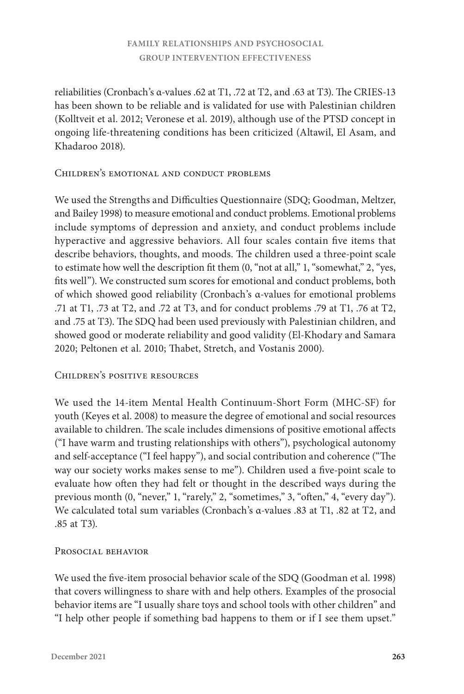reliabilities (Cronbach's α-values .62 at T1, .72 at T2, and .63 at T3). The CRIES-13 has been shown to be reliable and is validated for use with Palestinian children (Kolltveit et al. 2012; Veronese et al. 2019), although use of the PTSD concept in ongoing life-threatening conditions has been criticized (Altawil, El Asam, and Khadaroo 2018).

### Children's emotional and conduct problems

We used the Strengths and Difficulties Questionnaire (SDQ; Goodman, Meltzer, and Bailey 1998) to measure emotional and conduct problems. Emotional problems include symptoms of depression and anxiety, and conduct problems include hyperactive and aggressive behaviors. All four scales contain five items that describe behaviors, thoughts, and moods. The children used a three-point scale to estimate how well the description fit them (0, "not at all," 1, "somewhat," 2, "yes, fits well"). We constructed sum scores for emotional and conduct problems, both of which showed good reliability (Cronbach's α-values for emotional problems .71 at T1, .73 at T2, and .72 at T3, and for conduct problems .79 at T1, .76 at T2, and .75 at T3). The SDQ had been used previously with Palestinian children, and showed good or moderate reliability and good validity (El-Khodary and Samara 2020; Peltonen et al. 2010; Thabet, Stretch, and Vostanis 2000).

## Children's positive resources

We used the 14-item Mental Health Continuum-Short Form (MHC-SF) for youth (Keyes et al. 2008) to measure the degree of emotional and social resources available to children. The scale includes dimensions of positive emotional affects ("I have warm and trusting relationships with others"), psychological autonomy and self-acceptance ("I feel happy"), and social contribution and coherence ("The way our society works makes sense to me"). Children used a five-point scale to evaluate how often they had felt or thought in the described ways during the previous month (0, "never," 1, "rarely," 2, "sometimes," 3, "often," 4, "every day"). We calculated total sum variables (Cronbach's α-values .83 at T1, .82 at T2, and .85 at T3).

## PROSOCIAL BEHAVIOR

We used the five-item prosocial behavior scale of the SDQ (Goodman et al. 1998) that covers willingness to share with and help others. Examples of the prosocial behavior items are "I usually share toys and school tools with other children" and "I help other people if something bad happens to them or if I see them upset."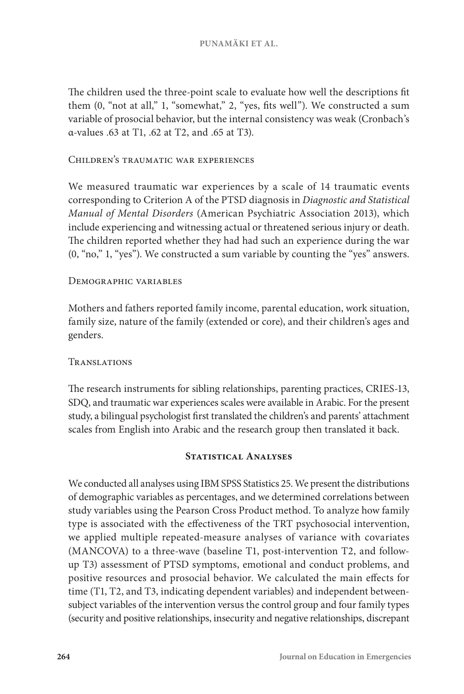The children used the three-point scale to evaluate how well the descriptions fit them (0, "not at all," 1, "somewhat," 2, "yes, fits well"). We constructed a sum variable of prosocial behavior, but the internal consistency was weak (Cronbach's α-values .63 at T1, .62 at T2, and .65 at T3).

#### Children's traumatic war experiences

We measured traumatic war experiences by a scale of 14 traumatic events corresponding to Criterion A of the PTSD diagnosis in *Diagnostic and Statistical Manual of Mental Disorders* (American Psychiatric Association 2013), which include experiencing and witnessing actual or threatened serious injury or death. The children reported whether they had had such an experience during the war (0, "no," 1, "yes"). We constructed a sum variable by counting the "yes" answers.

#### Demographic variables

Mothers and fathers reported family income, parental education, work situation, family size, nature of the family (extended or core), and their children's ages and genders.

## Translations

The research instruments for sibling relationships, parenting practices, CRIES-13, SDQ, and traumatic war experiences scales were available in Arabic. For the present study, a bilingual psychologist first translated the children's and parents' attachment scales from English into Arabic and the research group then translated it back.

#### **Statistical Analyses**

We conducted all analyses using IBM SPSS Statistics 25. We present the distributions of demographic variables as percentages, and we determined correlations between study variables using the Pearson Cross Product method. To analyze how family type is associated with the effectiveness of the TRT psychosocial intervention, we applied multiple repeated-measure analyses of variance with covariates (MANCOVA) to a three-wave (baseline T1, post-intervention T2, and followup T3) assessment of PTSD symptoms, emotional and conduct problems, and positive resources and prosocial behavior. We calculated the main effects for time (T1, T2, and T3, indicating dependent variables) and independent betweensubject variables of the intervention versus the control group and four family types (security and positive relationships, insecurity and negative relationships, discrepant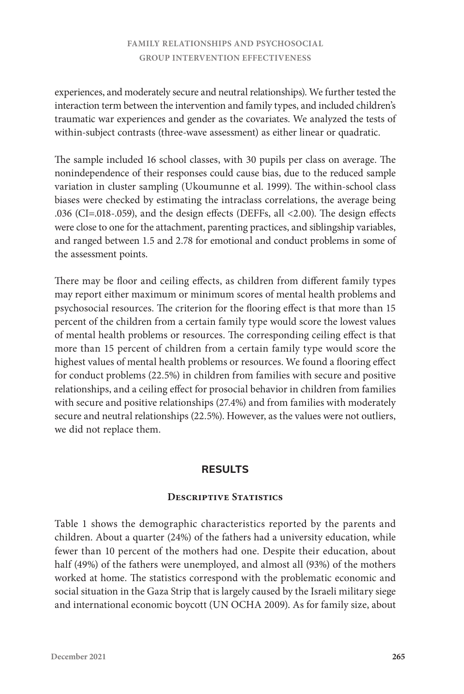experiences, and moderately secure and neutral relationships). We further tested the interaction term between the intervention and family types, and included children's traumatic war experiences and gender as the covariates. We analyzed the tests of within-subject contrasts (three-wave assessment) as either linear or quadratic.

The sample included 16 school classes, with 30 pupils per class on average. The nonindependence of their responses could cause bias, due to the reduced sample variation in cluster sampling (Ukoumunne et al. 1999). The within-school class biases were checked by estimating the intraclass correlations, the average being .036 (CI=.018-.059), and the design effects (DEFFs, all <2.00). The design effects were close to one for the attachment, parenting practices, and siblingship variables, and ranged between 1.5 and 2.78 for emotional and conduct problems in some of the assessment points.

There may be floor and ceiling effects, as children from different family types may report either maximum or minimum scores of mental health problems and psychosocial resources. The criterion for the flooring effect is that more than 15 percent of the children from a certain family type would score the lowest values of mental health problems or resources. The corresponding ceiling effect is that more than 15 percent of children from a certain family type would score the highest values of mental health problems or resources. We found a flooring effect for conduct problems (22.5%) in children from families with secure and positive relationships, and a ceiling effect for prosocial behavior in children from families with secure and positive relationships (27.4%) and from families with moderately secure and neutral relationships (22.5%). However, as the values were not outliers, we did not replace them.

## **RESULTS**

#### **Descriptive Statistics**

Table 1 shows the demographic characteristics reported by the parents and children. About a quarter (24%) of the fathers had a university education, while fewer than 10 percent of the mothers had one. Despite their education, about half (49%) of the fathers were unemployed, and almost all (93%) of the mothers worked at home. The statistics correspond with the problematic economic and social situation in the Gaza Strip that is largely caused by the Israeli military siege and international economic boycott (UN OCHA 2009). As for family size, about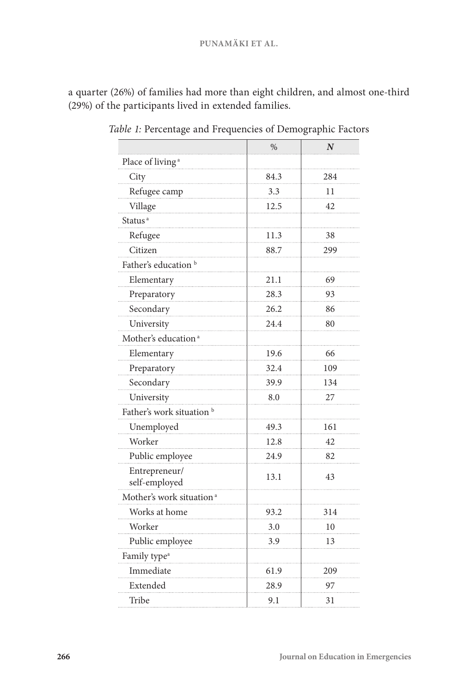#### **PUNAMÄKI ET AL.**

a quarter (26%) of families had more than eight children, and almost one-third (29%) of the participants lived in extended families.

|                                      | %    | $\boldsymbol{N}$ |
|--------------------------------------|------|------------------|
| Place of living <sup>a</sup>         |      |                  |
| City                                 | 84.3 | 284              |
| Refugee camp                         | 3.3  | 11               |
| Village                              | 12.5 | 42               |
| Status <sup>a</sup>                  |      |                  |
| Refugee                              | 11.3 | 38               |
| Citizen                              | 88.7 | 299              |
| Father's education <sup>b</sup>      |      |                  |
| Elementary                           | 21.1 | 69               |
| Preparatory                          | 28.3 | 93               |
| Secondary                            | 26.2 | 86               |
| University                           | 24.4 | 80               |
| Mother's education <sup>a</sup>      |      |                  |
| Elementary                           | 19.6 | 66               |
| Preparatory                          | 32.4 | 109              |
| Secondary                            | 39.9 | 134              |
| University                           | 8.0  | 27               |
| Father's work situation <sup>b</sup> |      |                  |
| Unemployed                           | 49.3 | 161              |
| Worker                               | 12.8 | 42               |
| Public employee                      | 24.9 | 82               |
| Entrepreneur/<br>self-employed       | 13.1 | 43               |
| Mother's work situation <sup>a</sup> |      |                  |
| Works at home                        | 93.2 | 314              |
| Worker                               | 3.0  | 10               |
| Public employee                      | 3.9  | 13               |
| Family type <sup>a</sup>             |      |                  |
| Immediate                            | 61.9 | 209              |
| Extended                             | 28.9 | 97               |
| Tribe                                | 9.1  | 31               |

*Table 1:* Percentage and Frequencies of Demographic Factors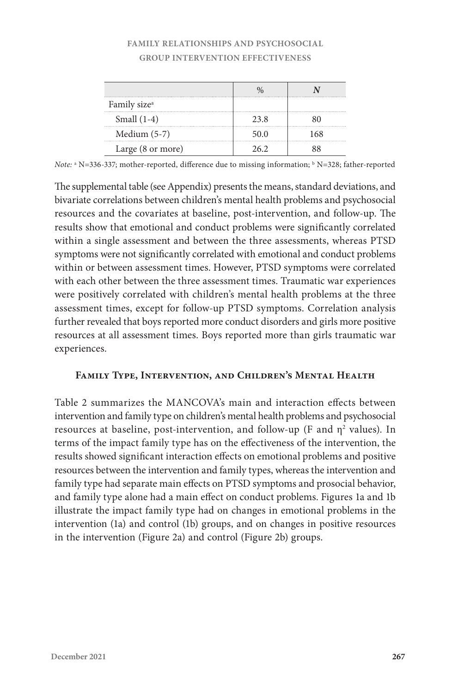| Family size <sup>a</sup> |      |     |
|--------------------------|------|-----|
| Small $(1-4)$            | 23.8 |     |
| Medium $(5-7)$           | 50.0 | 168 |
| Large (8 or more)        |      |     |

*Note:* <sup>a</sup> N=336-337; mother-reported, difference due to missing information; b N=328; father-reported

The supplemental table (see Appendix) presents the means, standard deviations, and bivariate correlations between children's mental health problems and psychosocial resources and the covariates at baseline, post-intervention, and follow-up. The results show that emotional and conduct problems were significantly correlated within a single assessment and between the three assessments, whereas PTSD symptoms were not significantly correlated with emotional and conduct problems within or between assessment times. However, PTSD symptoms were correlated with each other between the three assessment times. Traumatic war experiences were positively correlated with children's mental health problems at the three assessment times, except for follow-up PTSD symptoms. Correlation analysis further revealed that boys reported more conduct disorders and girls more positive resources at all assessment times. Boys reported more than girls traumatic war experiences.

## **Family Type, Intervention, and Children's Mental Health**

Table 2 summarizes the MANCOVA's main and interaction effects between intervention and family type on children's mental health problems and psychosocial resources at baseline, post-intervention, and follow-up (F and  $\eta^2$  values). In terms of the impact family type has on the effectiveness of the intervention, the results showed significant interaction effects on emotional problems and positive resources between the intervention and family types, whereas the intervention and family type had separate main effects on PTSD symptoms and prosocial behavior, and family type alone had a main effect on conduct problems. Figures 1a and 1b illustrate the impact family type had on changes in emotional problems in the intervention (1a) and control (1b) groups, and on changes in positive resources in the intervention (Figure 2a) and control (Figure 2b) groups.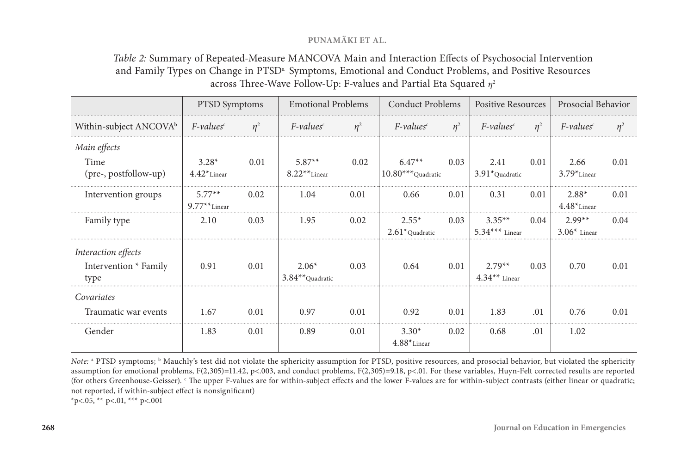#### **PUNAMÄKI ET AL.**

# *Table 2:* Summary of Repeated-Measure MANCOVA Main and Interaction Effects of Psychosocial Intervention and Family Types on Change in PTSD<sup>a</sup> Symptoms, Emotional and Conduct Problems, and Positive Resources across Three-Wave Follow-Up: F-values and Partial Eta Squared *η*<sup>2</sup>

|                                                      | <b>PTSD</b> Symptoms        |          | <b>Emotional Problems</b>     |          | <b>Conduct Problems</b>      |          | <b>Positive Resources</b>    |       | Prosocial Behavior         |          |
|------------------------------------------------------|-----------------------------|----------|-------------------------------|----------|------------------------------|----------|------------------------------|-------|----------------------------|----------|
| Within-subject $\text{ANCOVA}^b$                     | $F$ -values $c$             | $\eta^2$ | $F$ -values $c$               | $\eta^2$ | $F$ -values <sup>c</sup>     | $\eta^2$ | $F$ -values <sup>c</sup>     | $n^2$ | $F$ -values <sup>c</sup>   | $\eta^2$ |
| Main effects<br>Time                                 | $3.28*$                     | 0.01     | $5.87**$                      | 0.02     | $6.47**$                     | 0.03     | 2.41                         | 0.01  | 2.66                       | 0.01     |
| (pre-, postfollow-up)                                | $4.42*$ Linear              |          | $8.22**$ Linear               |          | $10.80***$ Quadratic         |          | $3.91*$ Quadratic            |       | $3.79*$ Linear             |          |
| Intervention groups                                  | $5.77**$<br>$9.77**$ Linear | 0.02     | 1.04                          | 0.01     | 0.66                         | 0.01     | 0.31                         | 0.01  | $2.88*$<br>$4.48*$ Linear  | 0.01     |
| Family type                                          | 2.10                        | 0.03     | 1.95                          | 0.02     | $2.55*$<br>$2.61*$ Quadratic | 0.03     | $3.35**$<br>$5.34***$ Linear | 0.04  | $2.99**$<br>$3.06*$ Linear | 0.04     |
| Interaction effects<br>Intervention * Family<br>type | 0.91                        | 0.01     | $2.06*$<br>$3.84**$ Quadratic | 0.03     | 0.64                         | 0.01     | $2.79**$<br>$4.34**$ Linear  | 0.03  | 0.70                       | 0.01     |
| Covariates                                           |                             |          |                               |          |                              |          |                              |       |                            |          |
| Traumatic war events                                 | 1.67                        | 0.01     | 0.97                          | 0.01     | 0.92                         | 0.01     | 1.83                         | .01   | 0.76                       | 0.01     |
| Gender                                               | 1.83                        | 0.01     | 0.89                          | 0.01     | $3.30*$<br>$4.88*$ Linear    | 0.02     | 0.68                         | .01   | 1.02                       |          |

*Note:* a PTSD symptoms; b Mauchly's test did not violate the sphericity assumption for PTSD, positive resources, and prosocial behavior, but violated the sphericity assumption for emotional problems, F(2,305)=11.42, p<.003, and conduct problems, F(2,305)=9.18, p<.01. For these variables, Huyn-Felt corrected results are reported (for others Greenhouse-Geisser). <sup>c</sup> The upper F-values are for within-subject effects and the lower F-values are for within-subject contrasts (either linear or quadratic; not reported, if within-subject effect is nonsignificant)

\*p<.05, \*\* p<.01, \*\*\* p<.001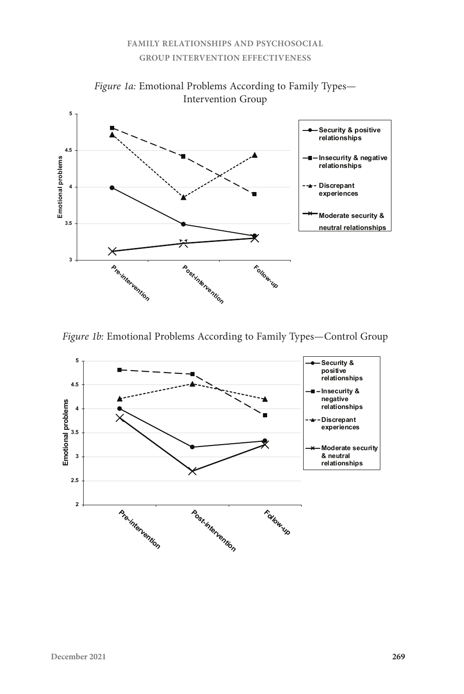

*Figure 1a:* Emotional Problems According to Family Types— Intervention Group *Figure 1a:* Emotional Problems According to Family Types**—** Intervention Group

Figure 1b: Emotional Problems According to Family Types-Control Group

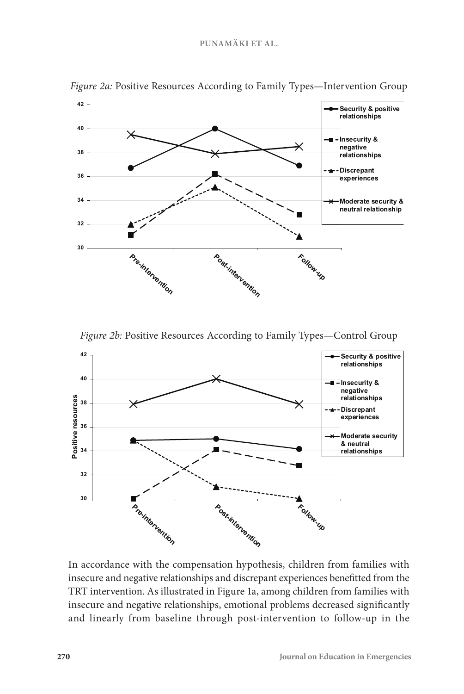

Figure 2a: Positive Resources According to Family Types-Intervention Group

*Figure 2b:* Positive Resources According to Family Types—Control Group



4 In accordance with the compensation hypothesis, children from families with insecure and negative relationships and discrepant experiences benefitted from the TRT intervention. As illustrated in Figure 1a, among children from families with insecure and negative relationships, emotional problems decreased significantly and linearly from baseline through post-intervention to follow-up in the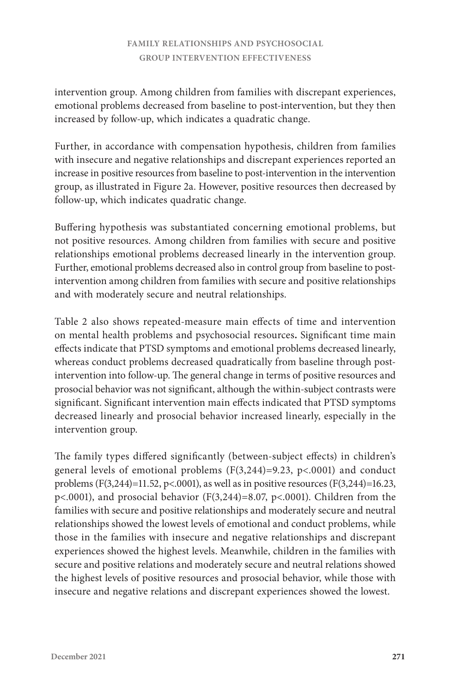intervention group. Among children from families with discrepant experiences, emotional problems decreased from baseline to post-intervention, but they then increased by follow-up, which indicates a quadratic change.

Further, in accordance with compensation hypothesis, children from families with insecure and negative relationships and discrepant experiences reported an increase in positive resources from baseline to post-intervention in the intervention group, as illustrated in Figure 2a. However, positive resources then decreased by follow-up, which indicates quadratic change.

Buffering hypothesis was substantiated concerning emotional problems, but not positive resources. Among children from families with secure and positive relationships emotional problems decreased linearly in the intervention group. Further, emotional problems decreased also in control group from baseline to postintervention among children from families with secure and positive relationships and with moderately secure and neutral relationships.

Table 2 also shows repeated-measure main effects of time and intervention on mental health problems and psychosocial resources**.** Significant time main effects indicate that PTSD symptoms and emotional problems decreased linearly, whereas conduct problems decreased quadratically from baseline through postintervention into follow-up. The general change in terms of positive resources and prosocial behavior was not significant, although the within-subject contrasts were significant. Significant intervention main effects indicated that PTSD symptoms decreased linearly and prosocial behavior increased linearly, especially in the intervention group.

The family types differed significantly (between-subject effects) in children's general levels of emotional problems (F(3,244)=9.23, p<.0001) and conduct problems (F(3,244)=11.52, p<.0001), as well as in positive resources (F(3,244)=16.23, p<.0001), and prosocial behavior (F(3,244)=8.07, p<.0001). Children from the families with secure and positive relationships and moderately secure and neutral relationships showed the lowest levels of emotional and conduct problems, while those in the families with insecure and negative relationships and discrepant experiences showed the highest levels. Meanwhile, children in the families with secure and positive relations and moderately secure and neutral relations showed the highest levels of positive resources and prosocial behavior, while those with insecure and negative relations and discrepant experiences showed the lowest.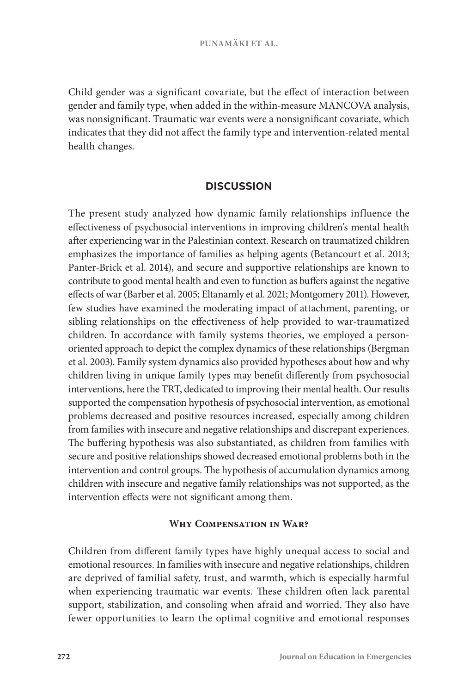Child gender was a significant covariate, but the effect of interaction between gender and family type, when added in the within-measure MANCOVA analysis, was nonsignificant. Traumatic war events were a nonsignificant covariate, which indicates that they did not affect the family type and intervention-related mental health changes.

#### **DISCUSSION**

The present study analyzed how dynamic family relationships influence the effectiveness of psychosocial interventions in improving children's mental health after experiencing war in the Palestinian context. Research on traumatized children emphasizes the importance of families as helping agents (Betancourt et al. 2013; Panter-Brick et al. 2014), and secure and supportive relationships are known to contribute to good mental health and even to function as buffers against the negative effects of war (Barber et al. 2005; Eltanamly et al. 2021; Montgomery 2011). However, few studies have examined the moderating impact of attachment, parenting, or sibling relationships on the effectiveness of help provided to war-traumatized children. In accordance with family systems theories, we employed a personoriented approach to depict the complex dynamics of these relationships (Bergman et al. 2003). Family system dynamics also provided hypotheses about how and why children living in unique family types may benefit differently from psychosocial interventions, here the TRT, dedicated to improving their mental health. Our results supported the compensation hypothesis of psychosocial intervention, as emotional problems decreased and positive resources increased, especially among children from families with insecure and negative relationships and discrepant experiences. The buffering hypothesis was also substantiated, as children from families with secure and positive relationships showed decreased emotional problems both in the intervention and control groups. The hypothesis of accumulation dynamics among children with insecure and negative family relationships was not supported, as the intervention effects were not significant among them.

#### **Why Compensation in War?**

Children from different family types have highly unequal access to social and emotional resources. In families with insecure and negative relationships, children are deprived of familial safety, trust, and warmth, which is especially harmful when experiencing traumatic war events. These children often lack parental support, stabilization, and consoling when afraid and worried. They also have fewer opportunities to learn the optimal cognitive and emotional responses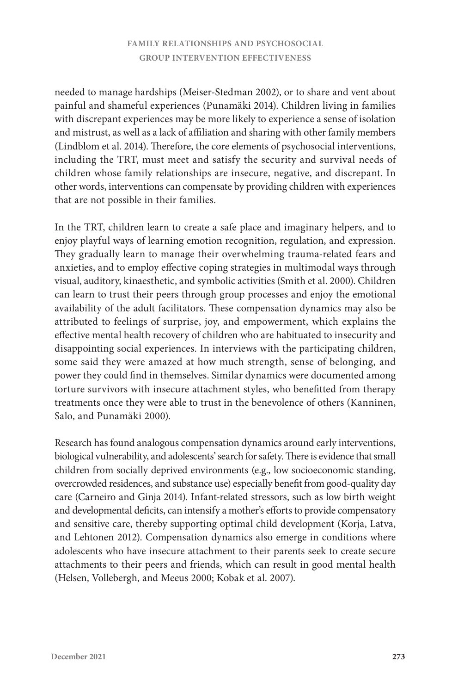needed to manage hardships (Meiser-Stedman 2002), or to share and vent about painful and shameful experiences (Punamäki 2014). Children living in families with discrepant experiences may be more likely to experience a sense of isolation and mistrust, as well as a lack of affiliation and sharing with other family members (Lindblom et al. 2014). Therefore, the core elements of psychosocial interventions, including the TRT, must meet and satisfy the security and survival needs of children whose family relationships are insecure, negative, and discrepant. In other words, interventions can compensate by providing children with experiences that are not possible in their families.

In the TRT, children learn to create a safe place and imaginary helpers, and to enjoy playful ways of learning emotion recognition, regulation, and expression. They gradually learn to manage their overwhelming trauma-related fears and anxieties, and to employ effective coping strategies in multimodal ways through visual, auditory, kinaesthetic, and symbolic activities (Smith et al. 2000). Children can learn to trust their peers through group processes and enjoy the emotional availability of the adult facilitators. These compensation dynamics may also be attributed to feelings of surprise, joy, and empowerment, which explains the effective mental health recovery of children who are habituated to insecurity and disappointing social experiences. In interviews with the participating children, some said they were amazed at how much strength, sense of belonging, and power they could find in themselves. Similar dynamics were documented among torture survivors with insecure attachment styles, who benefitted from therapy treatments once they were able to trust in the benevolence of others (Kanninen, Salo, and Punamäki 2000).

Research has found analogous compensation dynamics around early interventions, biological vulnerability, and adolescents' search for safety. There is evidence that small children from socially deprived environments (e.g., low socioeconomic standing, overcrowded residences, and substance use) especially benefit from good-quality day care (Carneiro and Ginja 2014). Infant-related stressors, such as low birth weight and developmental deficits, can intensify a mother's efforts to provide compensatory and sensitive care, thereby supporting optimal child development (Korja, Latva, and Lehtonen 2012). Compensation dynamics also emerge in conditions where adolescents who have insecure attachment to their parents seek to create secure attachments to their peers and friends, which can result in good mental health (Helsen, Vollebergh, and Meeus 2000; Kobak et al. 2007).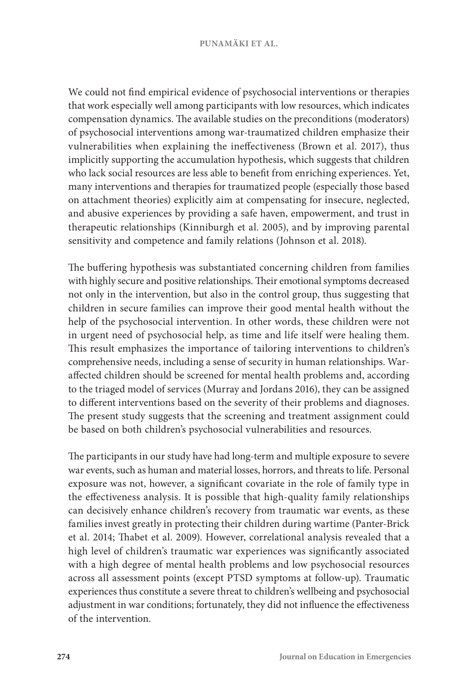We could not find empirical evidence of psychosocial interventions or therapies that work especially well among participants with low resources, which indicates compensation dynamics. The available studies on the preconditions (moderators) of psychosocial interventions among war-traumatized children emphasize their vulnerabilities when explaining the ineffectiveness (Brown et al. 2017), thus implicitly supporting the accumulation hypothesis, which suggests that children who lack social resources are less able to benefit from enriching experiences. Yet, many interventions and therapies for traumatized people (especially those based on attachment theories) explicitly aim at compensating for insecure, neglected, and abusive experiences by providing a safe haven, empowerment, and trust in therapeutic relationships (Kinniburgh et al. 2005), and by improving parental sensitivity and competence and family relations (Johnson et al. 2018).

The buffering hypothesis was substantiated concerning children from families with highly secure and positive relationships. Their emotional symptoms decreased not only in the intervention, but also in the control group, thus suggesting that children in secure families can improve their good mental health without the help of the psychosocial intervention. In other words, these children were not in urgent need of psychosocial help, as time and life itself were healing them. This result emphasizes the importance of tailoring interventions to children's comprehensive needs, including a sense of security in human relationships. Waraffected children should be screened for mental health problems and, according to the triaged model of services (Murray and Jordans 2016), they can be assigned to different interventions based on the severity of their problems and diagnoses. The present study suggests that the screening and treatment assignment could be based on both children's psychosocial vulnerabilities and resources.

The participants in our study have had long-term and multiple exposure to severe war events, such as human and material losses, horrors, and threats to life. Personal exposure was not, however, a significant covariate in the role of family type in the effectiveness analysis. It is possible that high-quality family relationships can decisively enhance children's recovery from traumatic war events, as these families invest greatly in protecting their children during wartime (Panter-Brick et al. 2014; Thabet et al. 2009). However, correlational analysis revealed that a high level of children's traumatic war experiences was significantly associated with a high degree of mental health problems and low psychosocial resources across all assessment points (except PTSD symptoms at follow-up). Traumatic experiences thus constitute a severe threat to children's wellbeing and psychosocial adjustment in war conditions; fortunately, they did not influence the effectiveness of the intervention.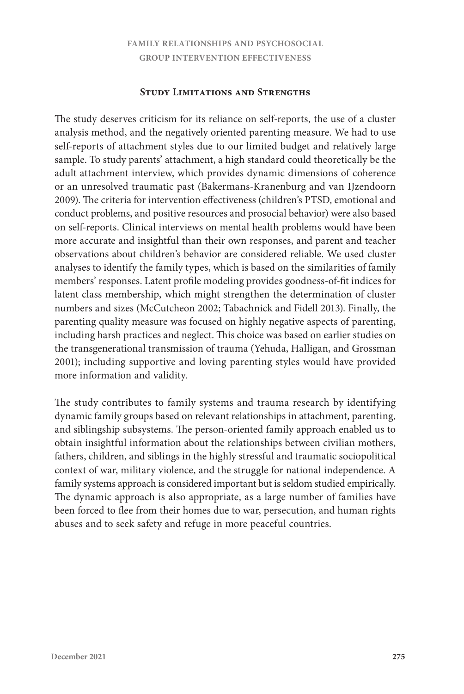#### **Study Limitations and Strengths**

The study deserves criticism for its reliance on self-reports, the use of a cluster analysis method, and the negatively oriented parenting measure. We had to use self-reports of attachment styles due to our limited budget and relatively large sample. To study parents' attachment, a high standard could theoretically be the adult attachment interview, which provides dynamic dimensions of coherence or an unresolved traumatic past (Bakermans-Kranenburg and van IJzendoorn 2009). The criteria for intervention effectiveness (children's PTSD, emotional and conduct problems, and positive resources and prosocial behavior) were also based on self-reports. Clinical interviews on mental health problems would have been more accurate and insightful than their own responses, and parent and teacher observations about children's behavior are considered reliable. We used cluster analyses to identify the family types, which is based on the similarities of family members' responses. Latent profile modeling provides goodness-of-fit indices for latent class membership, which might strengthen the determination of cluster numbers and sizes (McCutcheon 2002; Tabachnick and Fidell 2013). Finally, the parenting quality measure was focused on highly negative aspects of parenting, including harsh practices and neglect. This choice was based on earlier studies on the transgenerational transmission of trauma (Yehuda, Halligan, and Grossman 2001); including supportive and loving parenting styles would have provided more information and validity.

The study contributes to family systems and trauma research by identifying dynamic family groups based on relevant relationships in attachment, parenting, and siblingship subsystems. The person-oriented family approach enabled us to obtain insightful information about the relationships between civilian mothers, fathers, children, and siblings in the highly stressful and traumatic sociopolitical context of war, military violence, and the struggle for national independence. A family systems approach is considered important but is seldom studied empirically. The dynamic approach is also appropriate, as a large number of families have been forced to flee from their homes due to war, persecution, and human rights abuses and to seek safety and refuge in more peaceful countries.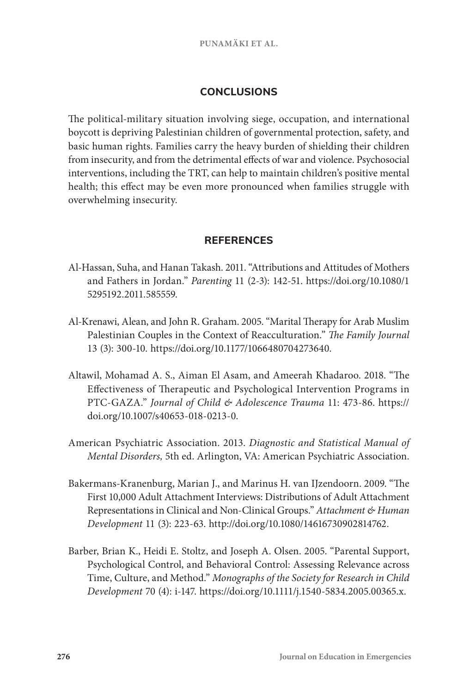# **CONCLUSIONS**

The political-military situation involving siege, occupation, and international boycott is depriving Palestinian children of governmental protection, safety, and basic human rights. Families carry the heavy burden of shielding their children from insecurity, and from the detrimental effects of war and violence. Psychosocial interventions, including the TRT, can help to maintain children's positive mental health; this effect may be even more pronounced when families struggle with overwhelming insecurity.

# **REFERENCES**

- Al-Hassan, Suha, and Hanan Takash. 2011. "Attributions and Attitudes of Mothers and Fathers in Jordan." *Parenting* 11 (2-3): 142-51. [https://doi.org/10.1080/1](https://doi.org/10.1080/15295192.2011.585559) [5295192.2011.585559.](https://doi.org/10.1080/15295192.2011.585559)
- Al-Krenawi, Alean, and John R. Graham. 2005. "Marital Therapy for Arab Muslim Palestinian Couples in the Context of Reacculturation." *The Family Journal* 13 (3): 300-10. https://doi.org/10.1177/1066480704273640.
- Altawil, Mohamad A. S., Aiman El Asam, and Ameerah Khadaroo. 2018. "The Effectiveness of Therapeutic and Psychological Intervention Programs in PTC-GAZA." *Journal of Child & Adolescence Trauma* 11: 473-86. https:// doi.org/10.1007/s40653-018-0213-0.
- American Psychiatric Association. 2013. *Diagnostic and Statistical Manual of Mental Disorders,* 5th ed. Arlington, VA: American Psychiatric Association.
- Bakermans-Kranenburg, Marian J., and Marinus H. van IJzendoorn. 2009. "The First 10,000 Adult Attachment Interviews: Distributions of Adult Attachment Representations in Clinical and Non-Clinical Groups." *Attachment & Human Development* 11 (3): 223-63. http://doi.org/10.1080/14616730902814762.
- Barber, Brian K., Heidi E. Stoltz, and Joseph A. Olsen. 2005. "Parental Support, Psychological Control, and Behavioral Control: Assessing Relevance across Time, Culture, and Method." *Monographs of the Society for Research in Child Development* 70 (4): i-147. https://doi.org/10.1111/j.1540-5834.2005.00365.x.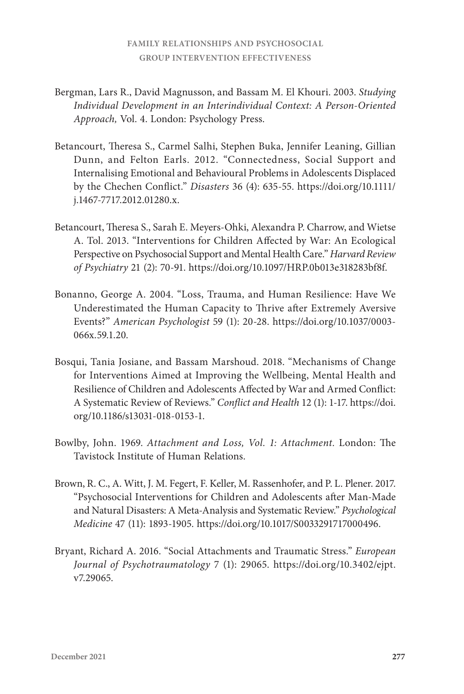- Bergman, Lars R., David Magnusson, and Bassam M. El Khouri. 2003. *Studying Individual Development in an Interindividual Context: A Person-Oriented Approach,* Vol. 4. London: Psychology Press.
- Betancourt, Theresa S., Carmel Salhi, Stephen Buka, Jennifer Leaning, Gillian Dunn, and Felton Earls. 2012. "Connectedness, Social Support and Internalising Emotional and Behavioural Problems in Adolescents Displaced by the Chechen Conflict." *Disasters* 36 (4): 635-55. https://doi.org/10.1111/ j.1467-7717.2012.01280.x.
- Betancourt, Theresa S., Sarah E. Meyers-Ohki, Alexandra P. Charrow, and Wietse A. Tol. 2013. "Interventions for Children Affected by War: An Ecological Perspective on Psychosocial Support and Mental Health Care." *Harvard Review of Psychiatry* 21 (2): 70-91. https://doi.org/10.1097/HRP.0b013e318283bf8f.
- Bonanno, George A. 2004. "Loss, Trauma, and Human Resilience: Have We Underestimated the Human Capacity to Thrive after Extremely Aversive Events?" *American Psychologist* 59 (1): 20-28. https://doi.org/10.1037/0003- 066x.59.1.20.
- Bosqui, Tania Josiane, and Bassam Marshoud. 2018. "Mechanisms of Change for Interventions Aimed at Improving the Wellbeing, Mental Health and Resilience of Children and Adolescents Affected by War and Armed Conflict: A Systematic Review of Reviews." *Conflict and Health* 12 (1): 1-17. [https://doi.](https://doi.org/10.1186/s13031-018-0153-1) [org/10.1186/s13031-018-0153-1](https://doi.org/10.1186/s13031-018-0153-1).
- Bowlby, John. 1969. *Attachment and Loss, Vol. 1: Attachment.* London: The Tavistock Institute of Human Relations.
- Brown, R. C., A. Witt, J. M. Fegert, F. Keller, M. Rassenhofer, and P. L. Plener. 2017. "Psychosocial Interventions for Children and Adolescents after Man-Made and Natural Disasters: A Meta-Analysis and Systematic Review." *Psychological Medicine* 47 (11): 1893-1905. https://doi.org/10.1017/S0033291717000496.
- Bryant, Richard A. 2016. "Social Attachments and Traumatic Stress." *European Journal of Psychotraumatology* 7 (1): 29065. [https://doi.org/10.3402/ejpt.](https://doi.org/10.3402/ejpt.v7.29065) [v7.29065](https://doi.org/10.3402/ejpt.v7.29065).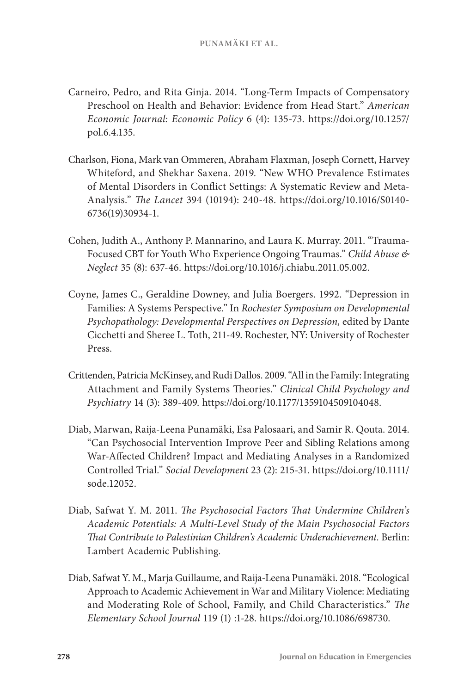- Carneiro, Pedro, and Rita Ginja. 2014. "Long-Term Impacts of Compensatory Preschool on Health and Behavior: Evidence from Head Start." *American Economic Journal: Economic Policy* 6 (4): 135-73. [https://doi.org/10.1257/](https://doi.org/10.1257/pol.6.4.135) [pol.6.4.135.](https://doi.org/10.1257/pol.6.4.135)
- Charlson, Fiona, Mark van Ommeren, Abraham Flaxman, Joseph Cornett, Harvey Whiteford, and Shekhar Saxena. 2019. "New WHO Prevalence Estimates of Mental Disorders in Conflict Settings: A Systematic Review and Meta-Analysis." *The Lancet* 394 (10194): 240-48. [https://doi.org/10.1016/S0140-](https://doi.org/10.1016/S0140-6736(19)30934-1) [6736\(19\)30934-1.](https://doi.org/10.1016/S0140-6736(19)30934-1)
- Cohen, Judith A., Anthony P. Mannarino, and Laura K. Murray. 2011. "Trauma-Focused CBT for Youth Who Experience Ongoing Traumas." *Child Abuse & Neglect* 35 (8): 637-46. https://doi.org/10.1016/j.chiabu.2011.05.002.
- Coyne, James C., Geraldine Downey, and Julia Boergers. 1992. "Depression in Families: A Systems Perspective." In *Rochester Symposium on Developmental Psychopathology: Developmental Perspectives on Depression,* edited by Dante Cicchetti and Sheree L. Toth, 211-49. Rochester, NY: University of Rochester Press.
- Crittenden, Patricia McKinsey, and Rudi Dallos. 2009. "All in the Family: Integrating Attachment and Family Systems Theories." *Clinical Child Psychology and Psychiatry* 14 (3): 389-409. https://doi.org/10.1177/1359104509104048.
- Diab, Marwan, Raija-Leena Punamäki, Esa Palosaari, and Samir R. Qouta. 2014. "Can Psychosocial Intervention Improve Peer and Sibling Relations among War‐Affected Children? Impact and Mediating Analyses in a Randomized Controlled Trial." *Social Development* 23 (2): 215-31. [https://doi.org/10.1111/](https://doi.org/10.1111/sode.12052) [sode.12052](https://doi.org/10.1111/sode.12052).
- Diab, Safwat Y. M. 2011. *The Psychosocial Factors That Undermine Children's Academic Potentials: A Multi-Level Study of the Main Psychosocial Factors That Contribute to Palestinian Children's Academic Underachievement.* Berlin: Lambert Academic Publishing.
- Diab, Safwat Y. M., Marja Guillaume, and Raija-Leena Punamäki. 2018. "Ecological Approach to Academic Achievement in War and Military Violence: Mediating and Moderating Role of School, Family, and Child Characteristics." *The Elementary School Journal* 119 (1) :1-28. https://doi.org/10.1086/698730.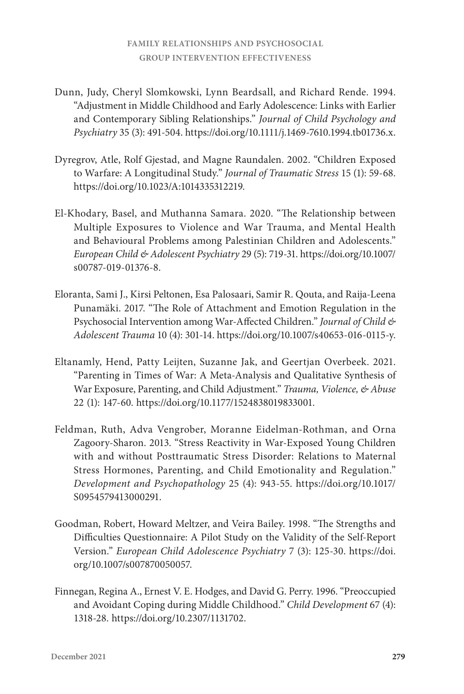- Dunn, Judy, Cheryl Slomkowski, Lynn Beardsall, and Richard Rende. 1994. "Adjustment in Middle Childhood and Early Adolescence: Links with Earlier and Contemporary Sibling Relationships." *Journal of Child Psychology and Psychiatry* 35 (3): 491-504. https://doi.org/10.1111/j.1469-7610.1994.tb01736.x.
- Dyregrov, Atle, Rolf Gjestad, and Magne Raundalen. 2002. "Children Exposed to Warfare: A Longitudinal Study." *Journal of Traumatic Stress* 15 (1): 59-68. https://doi.org/10.1023/A:1014335312219.
- El-Khodary, Basel, and Muthanna Samara. 2020. "The Relationship between Multiple Exposures to Violence and War Trauma, and Mental Health and Behavioural Problems among Palestinian Children and Adolescents." *European Child & Adolescent Psychiatry* 29 (5): 719-31. [https://doi.org/10.1007/](https://doi.org/10.1007/s00787-019-01376-8) [s00787-019-01376-8.](https://doi.org/10.1007/s00787-019-01376-8)
- Eloranta, Sami J., Kirsi Peltonen, Esa Palosaari, Samir R. Qouta, and Raija-Leena Punamäki. 2017. "The Role of Attachment and Emotion Regulation in the Psychosocial Intervention among War-Affected Children." *Journal of Child & Adolescent Trauma* 10 (4): 301-14. https://doi.org/10.1007/s40653-016-0115-y.
- Eltanamly, Hend, Patty Leijten, Suzanne Jak, and Geertjan Overbeek. 2021. "Parenting in Times of War: A Meta-Analysis and Qualitative Synthesis of War Exposure, Parenting, and Child Adjustment." *Trauma, Violence, & Abuse* 22 (1): 147-60. https://doi.org/10.1177/1524838019833001.
- Feldman, Ruth, Adva Vengrober, Moranne Eidelman-Rothman, and Orna Zagoory-Sharon. 2013. "Stress Reactivity in War-Exposed Young Children with and without Posttraumatic Stress Disorder: Relations to Maternal Stress Hormones, Parenting, and Child Emotionality and Regulation." *Development and Psychopathology* 25 (4): 943-55. [https://doi.org/10.1017/](https://doi.org/10.1017/S0954579413000291) [S0954579413000291](https://doi.org/10.1017/S0954579413000291).
- Goodman, Robert, Howard Meltzer, and Veira Bailey. 1998. "The Strengths and Difficulties Questionnaire: A Pilot Study on the Validity of the Self-Report Version." *European Child Adolescence Psychiatry* 7 (3): 125-30. [https://doi.](https://doi.org/10.1007/s007870050057) [org/10.1007/s007870050057.](https://doi.org/10.1007/s007870050057)
- Finnegan, Regina A., Ernest V. E. Hodges, and David G. Perry. 1996. "Preoccupied and Avoidant Coping during Middle Childhood." *Child Development* 67 (4): 1318-28. https://doi.org/10.2307/1131702.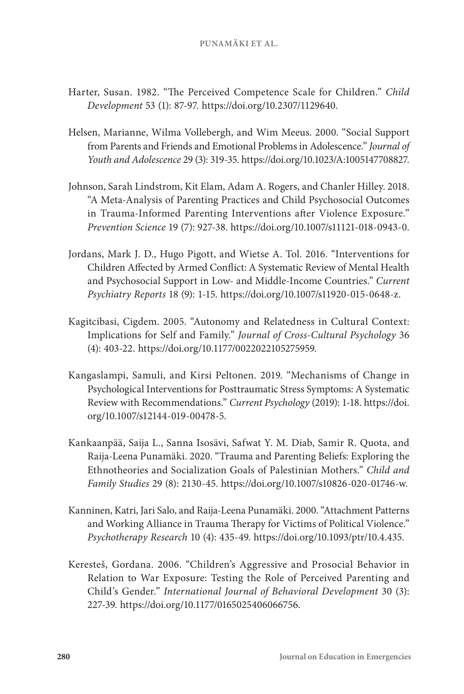- Harter, Susan. 1982. "The Perceived Competence Scale for Children." *Child Development* 53 (1): 87-97. https://doi.org/10.2307/1129640.
- Helsen, Marianne, Wilma Vollebergh, and Wim Meeus. 2000. "Social Support from Parents and Friends and Emotional Problems in Adolescence." *Journal of Youth and Adolescence* 29 (3): 319-35. https://doi.org/10.1023/A:1005147708827.
- Johnson, Sarah Lindstrom, Kit Elam, Adam A. Rogers, and Chanler Hilley. 2018. "A Meta-Analysis of Parenting Practices and Child Psychosocial Outcomes in Trauma-Informed Parenting Interventions after Violence Exposure." *Prevention Science* 19 (7): 927-38. https://doi.org/10.1007/s11121-018-0943-0.
- Jordans, Mark J. D., Hugo Pigott, and Wietse A. Tol. 2016. "Interventions for Children Affected by Armed Conflict: A Systematic Review of Mental Health and Psychosocial Support in Low- and Middle-Income Countries." *Current Psychiatry Reports* 18 (9): 1-15. https://doi.org/10.1007/s11920-015-0648-z.
- Kagitcibasi, Cigdem. 2005. "Autonomy and Relatedness in Cultural Context: Implications for Self and Family." *Journal of Cross-Cultural Psychology* 36 (4): 403-22. https://doi.org/10.1177/0022022105275959.
- Kangaslampi, Samuli, and Kirsi Peltonen. 2019. "Mechanisms of Change in Psychological Interventions for Posttraumatic Stress Symptoms: A Systematic Review with Recommendations." *Current Psychology* (2019): 1-18. [https://doi.](https://doi.org/10.1007/s12144-019-00478-5) [org/10.1007/s12144-019-00478-5.](https://doi.org/10.1007/s12144-019-00478-5)
- Kankaanpää, Saija L., Sanna Isosävi, Safwat Y. M. Diab, Samir R. Quota, and Raija-Leena Punamäki. 2020. "Trauma and Parenting Beliefs: Exploring the Ethnotheories and Socialization Goals of Palestinian Mothers." *Child and Family Studies* 29 (8): 2130-45. https://doi.org/10.1007/s10826-020-01746-w.
- Kanninen, Katri, Jari Salo, and Raija-Leena Punamäki. 2000. "Attachment Patterns and Working Alliance in Trauma Therapy for Victims of Political Violence." *Psychotherapy Research* 10 (4): 435-49. https://doi.org/10.1093/ptr/10.4.435.
- Keresteš, Gordana. 2006. "Children's Aggressive and Prosocial Behavior in Relation to War Exposure: Testing the Role of Perceived Parenting and Child's Gender." *International Journal of Behavioral Development* 30 (3): 227-39. https://doi.org/10.1177/0165025406066756.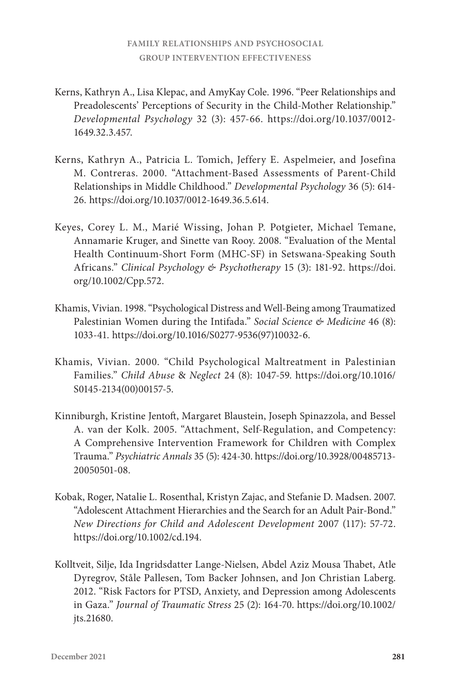- Kerns, Kathryn A., Lisa Klepac, and AmyKay Cole. 1996. "Peer Relationships and Preadolescents' Perceptions of Security in the Child-Mother Relationship." *Developmental Psychology* 32 (3): 457-66. https://doi.org/10.1037/0012- 1649.32.3.457.
- Kerns, Kathryn A., Patricia L. Tomich, Jeffery E. Aspelmeier, and Josefina M. Contreras. 2000. "Attachment-Based Assessments of Parent-Child Relationships in Middle Childhood." *Developmental Psychology* 36 (5): 614- 26. https://doi.org/10.1037/0012-1649.36.5.614.
- Keyes, Corey L. M., Marié Wissing, Johan P. Potgieter, Michael Temane, Annamarie Kruger, and Sinette van Rooy. 2008. "Evaluation of the Mental Health Continuum-Short Form (MHC-SF) in Setswana-Speaking South Africans." *Clinical Psychology & Psychotherapy* 15 (3): 181-92. [https://doi.](https://doi.org/10.1002/Cpp.572) [org/10.1002/Cpp.572.](https://doi.org/10.1002/Cpp.572)
- Khamis, Vivian. 1998. "Psychological Distress and Well-Being among Traumatized Palestinian Women during the Intifada." *Social Science & Medicine* 46 (8): 1033-41. [https://doi.org/10.1016/S0277-9536\(97\)10032-6.](https://doi.org/10.1016/S0277-9536(97)10032-6)
- Khamis, Vivian. 2000. "Child Psychological Maltreatment in Palestinian Families." *Child Abuse* & *Neglect* 24 (8): 1047-59. [https://doi.org/10.1016/](https://doi.org/10.1016/S0145-2134(00)00157-5) [S0145-2134\(00\)00157-5.](https://doi.org/10.1016/S0145-2134(00)00157-5)
- Kinniburgh, Kristine Jentoft, Margaret Blaustein, Joseph Spinazzola, and Bessel A. van der Kolk. 2005. "Attachment, Self-Regulation, and Competency: A Comprehensive Intervention Framework for Children with Complex Trauma." *Psychiatric Annals* 35 (5): 424-30. https://doi.org/10.3928/00485713- 20050501-08.
- Kobak, Roger, Natalie L. Rosenthal, Kristyn Zajac, and Stefanie D. Madsen. 2007. "Adolescent Attachment Hierarchies and the Search for an Adult Pair-Bond." *New Directions for Child and Adolescent Development* 2007 (117): 57-72. https://doi.org/10.1002/cd.194.
- Kolltveit, Silje, Ida Ingridsdatter Lange-Nielsen, Abdel Aziz Mousa Thabet, Atle Dyregrov, Ståle Pallesen, Tom Backer Johnsen, and Jon Christian Laberg. 2012. "Risk Factors for PTSD, Anxiety, and Depression among Adolescents in Gaza." *Journal of Traumatic Stress* 25 (2): 164-70. [https://doi.org/10.1002/](https://doi.org/10.1002/jts.21680) [jts.21680](https://doi.org/10.1002/jts.21680).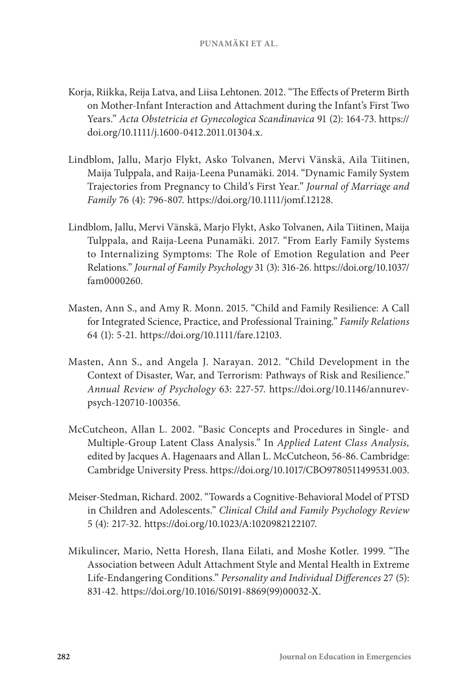- Korja, Riikka, Reija Latva, and Liisa Lehtonen. 2012. "The Effects of Preterm Birth on Mother-Infant Interaction and Attachment during the Infant's First Two Years." *Acta Obstetricia et Gynecologica Scandinavica* 91 (2): 164-73. [https://](https://doi.org/10.1111/j.1600-0412.2011.01304.x) [doi.org/10.1111/j.1600-0412.2011.01304.x](https://doi.org/10.1111/j.1600-0412.2011.01304.x).
- Lindblom, Jallu, Marjo Flykt, Asko Tolvanen, Mervi Vänskä, Aila Tiitinen, Maija Tulppala, and Raija-Leena Punamäki. 2014. "Dynamic Family System Trajectories from Pregnancy to Child's First Year." *Journal of Marriage and Family* 76 (4): 796-807. https://doi.org/10.1111/jomf.12128.
- Lindblom, Jallu, Mervi Vänskä, Marjo Flykt, Asko Tolvanen, Aila Tiitinen, Maija Tulppala, and Raija-Leena Punamäki. 2017. "From Early Family Systems to Internalizing Symptoms: The Role of Emotion Regulation and Peer Relations." *Journal of Family Psychology* 31 (3): 316-26. [https://doi.org/10.1037/](https://doi.org/10.1037/fam0000260) [fam0000260.](https://doi.org/10.1037/fam0000260)
- Masten, Ann S., and Amy R. Monn. 2015. "Child and Family Resilience: A Call for Integrated Science, Practice, and Professional Training." *Family Relations*  64 (1): 5-21. <https://doi.org/10.1111/fare.12103>.
- Masten, Ann S., and Angela J. Narayan. 2012. "Child Development in the Context of Disaster, War, and Terrorism: Pathways of Risk and Resilience." *Annual Review of Psychology* 63: 227-57. [https://doi.org/10.1146/annurev](https://doi.org/10.1146/annurev-psych-120710-100356)[psych-120710-100356.](https://doi.org/10.1146/annurev-psych-120710-100356)
- McCutcheon, Allan L. 2002. "Basic Concepts and Procedures in Single- and Multiple-Group Latent Class Analysis." In *Applied Latent Class Analysis,* edited by Jacques A. Hagenaars and Allan L. McCutcheon, 56-86. Cambridge: Cambridge University Press. [https://doi.org/10.1017/CBO9780511499531.003.](https://doi.org/10.1017/CBO9780511499531.003)
- Meiser-Stedman, Richard. 2002. "Towards a Cognitive-Behavioral Model of PTSD in Children and Adolescents." *Clinical Child and Family Psychology Review* 5 (4): 217-32. [https://doi.org/10.1023/A:1020982122107.](https://doi.org/10.1023/A:1020982122107)
- Mikulincer, Mario, Netta Horesh, Ilana Eilati, and Moshe Kotler. 1999. "The Association between Adult Attachment Style and Mental Health in Extreme Life-Endangering Conditions." *Personality and Individual Differences* 27 (5): 831-42. [https://doi.org/10.1016/S0191-8869\(99\)00032-X.](https://doi.org/10.1016/S0191-8869(99)00032-X)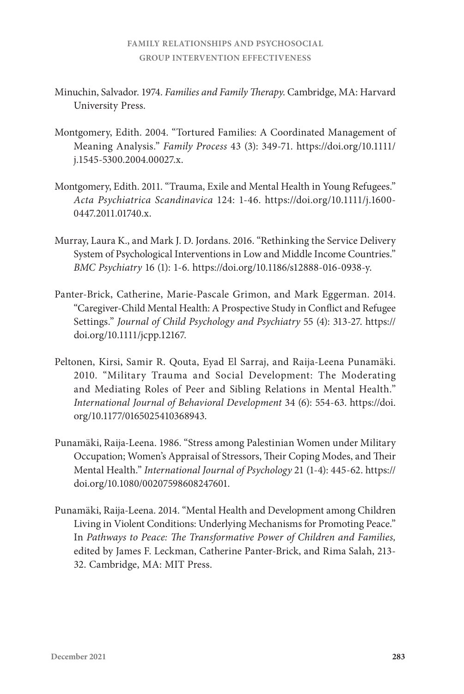- Minuchin, Salvador. 1974. *Families and Family Therapy*. Cambridge, MA: Harvard University Press.
- Montgomery, Edith. 2004. "Tortured Families: A Coordinated Management of Meaning Analysis." *Family Process* 43 (3): 349-71. [https://doi.org/10.1111/](https://doi.org/10.1111/j.1545-5300.2004.00027.x) [j.1545-5300.2004.00027.x.](https://doi.org/10.1111/j.1545-5300.2004.00027.x)
- Montgomery, Edith. 2011. "Trauma, Exile and Mental Health in Young Refugees." *Acta Psychiatrica Scandinavica* 124: 1-46. [https://doi.org/10.1111/j.1600-](https://doi.org/10.1111/j.1600-0447.2011.01740.x) [0447.2011.01740.x.](https://doi.org/10.1111/j.1600-0447.2011.01740.x)
- Murray, Laura K., and Mark J. D. Jordans. 2016. "Rethinking the Service Delivery System of Psychological Interventions in Low and Middle Income Countries." *BMC Psychiatry* 16 (1): 1-6. [https://doi.org/10.1186/s12888-016-0938-y.](https://doi.org/10.1186/s12888-016-0938-y)
- Panter-Brick, Catherine, Marie-Pascale Grimon, and Mark Eggerman. 2014. "Caregiver-Child Mental Health: A Prospective Study in Conflict and Refugee Settings." *Journal of Child Psychology and Psychiatry* 55 (4): 313-27. [https://](https://doi.org/10.1111/jcpp.12167) [doi.org/10.1111/jcpp.12167](https://doi.org/10.1111/jcpp.12167).
- Peltonen, Kirsi, Samir R. Qouta, Eyad El Sarraj, and Raija-Leena Punamäki. 2010. "Military Trauma and Social Development: The Moderating and Mediating Roles of Peer and Sibling Relations in Mental Health." *International Journal of Behavioral Development* 34 (6): 554-63. [https://doi.](https://doi.org/10.1177/0165025410368943) [org/10.1177/0165025410368943](https://doi.org/10.1177/0165025410368943).
- Punamäki, Raija-Leena. 1986. "Stress among Palestinian Women under Military Occupation; Women's Appraisal of Stressors, Their Coping Modes, and Their Mental Health." *International Journal of Psychology* 21 (1-4): 445-62. [https://](https://doi.org/10.1080/00207598608247601) [doi.org/10.1080/00207598608247601](https://doi.org/10.1080/00207598608247601).
- Punamäki, Raija-Leena. 2014. "Mental Health and Development among Children Living in Violent Conditions: Underlying Mechanisms for Promoting Peace." In *Pathways to Peace: The Transformative Power of Children and Families,*  edited by James F. Leckman, Catherine Panter-Brick, and Rima Salah, 213- 32. Cambridge, MA: MIT Press.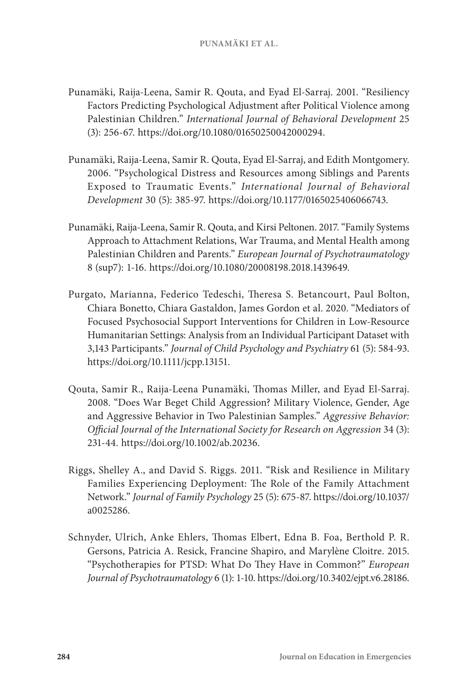- Punamäki, Raija-Leena, Samir R. Qouta, and Eyad El-Sarraj. 2001. "Resiliency Factors Predicting Psychological Adjustment after Political Violence among Palestinian Children." *International Journal of Behavioral Development* 25 (3): 256-67. <https://doi.org/10.1080/01650250042000294>.
- Punamäki, Raija-Leena, Samir R. Qouta, Eyad El-Sarraj, and Edith Montgomery. 2006. "Psychological Distress and Resources among Siblings and Parents Exposed to Traumatic Events." *International Journal of Behavioral Development* 30 (5): 385-97. [https://doi.org/10.1177/0165025406066743.](https://doi.org/10.1177/0165025406066743)
- Punamäki, Raija-Leena, Samir R. Qouta, and Kirsi Peltonen. 2017. "Family Systems Approach to Attachment Relations, War Trauma, and Mental Health among Palestinian Children and Parents." *European Journal of Psychotraumatology* 8 (sup7): 1-16. [https://doi.org/10.1080/20008198.2018.1439649.](https://doi.org/10.1080/20008198.2018.1439649)
- Purgato, Marianna, Federico Tedeschi, Theresa S. Betancourt, Paul Bolton, Chiara Bonetto, Chiara Gastaldon, James Gordon et al. 2020. "Mediators of Focused Psychosocial Support Interventions for Children in Low-Resource Humanitarian Settings: Analysis from an Individual Participant Dataset with 3,143 Participants." *Journal of Child Psychology and Psychiatry* 61 (5): 584-93. <https://doi.org/10.1111/jcpp.13151>.
- Qouta, Samir R., Raija-Leena Punamäki, Thomas Miller, and Eyad El‐Sarraj. 2008. "Does War Beget Child Aggression? Military Violence, Gender, Age and Aggressive Behavior in Two Palestinian Samples." *Aggressive Behavior: Official Journal of the International Society for Research on Aggression* 34 (3): 231-44. <https://doi.org/10.1002/ab.20236>.
- Riggs, Shelley A., and David S. Riggs. 2011. "Risk and Resilience in Military Families Experiencing Deployment: The Role of the Family Attachment Network." *Journal of Family Psychology* 25 (5): 675-87. [https://doi.org/10.1037/](https://doi.org/10.1037/a0025286) [a0025286.](https://doi.org/10.1037/a0025286)
- Schnyder, Ulrich, Anke Ehlers, Thomas Elbert, Edna B. Foa, Berthold P. R. Gersons, Patricia A. Resick, Francine Shapiro, and Marylène Cloitre. 2015. "Psychotherapies for PTSD: What Do They Have in Common?" *European Journal of Psychotraumatology* 6 (1): 1-10. [https://doi.org/10.3402/ejpt.v6.28186.](https://doi.org/10.3402/ejpt.v6.28186)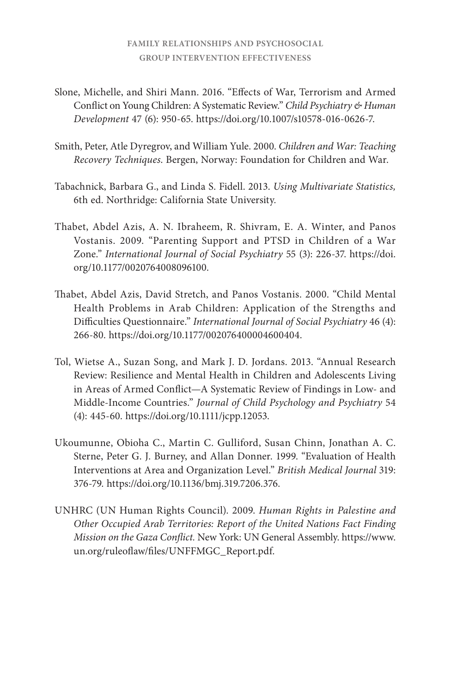- Slone, Michelle, and Shiri Mann. 2016. "Effects of War, Terrorism and Armed Conflict on Young Children: A Systematic Review." *Child Psychiatry & Human Development* 47 (6): 950-65. [https://doi.org/10.1007/s10578-016-0626-7.](https://doi.org/10.1007/s10578-016-0626-7)
- Smith, Peter, Atle Dyregrov, and William Yule. 2000. *Children and War: Teaching Recovery Techniques*. Bergen, Norway: Foundation for Children and War.
- Tabachnick, Barbara G., and Linda S. Fidell. 2013. *Using Multivariate Statistics,* 6th ed. Northridge: California State University*.*
- Thabet, Abdel Azis, A. N. Ibraheem, R. Shivram, E. A. Winter, and Panos Vostanis. 2009. "Parenting Support and PTSD in Children of a War Zone." *International Journal of Social Psychiatry* 55 (3): 226-37. [https://doi.](https://doi.org/10.1177/0020764008096100) [org/10.1177/0020764008096100](https://doi.org/10.1177/0020764008096100).
- Thabet, Abdel Azis, David Stretch, and Panos Vostanis. 2000. "Child Mental Health Problems in Arab Children: Application of the Strengths and Difficulties Questionnaire." *International Journal of Social Psychiatry* 46 (4): 266-80. <https://doi.org/10.1177/002076400004600404>.
- Tol, Wietse A., Suzan Song, and Mark J. D. Jordans. 2013. "Annual Research Review: Resilience and Mental Health in Children and Adolescents Living in Areas of Armed Conflict—A Systematic Review of Findings in Low- and Middle-Income Countries." *Journal of Child Psychology and Psychiatry* 54 (4): 445-60. <https://doi.org/10.1111/jcpp.12053>.
- Ukoumunne, Obioha C., Martin C. Gulliford, Susan Chinn, Jonathan A. C. Sterne, Peter G. J. Burney, and Allan Donner. 1999. "Evaluation of Health Interventions at Area and Organization Level." *British Medical Journal* 319: 376-79. [https://doi.org/10.1136/bmj.319.7206.376.](https://doi.org/10.1136/bmj.319.7206.376)
- UNHRC (UN Human Rights Council). 2009. *Human Rights in Palestine and Other Occupied Arab Territories: Report of the United Nations Fact Finding Mission on the Gaza Conflict.* New York: UN General Assembly. [https://www.](https://www.un.org/ruleoflaw/files/UNFFMGC_Report.pdf) [un.org/ruleoflaw/files/UNFFMGC\\_Report.pdf.](https://www.un.org/ruleoflaw/files/UNFFMGC_Report.pdf)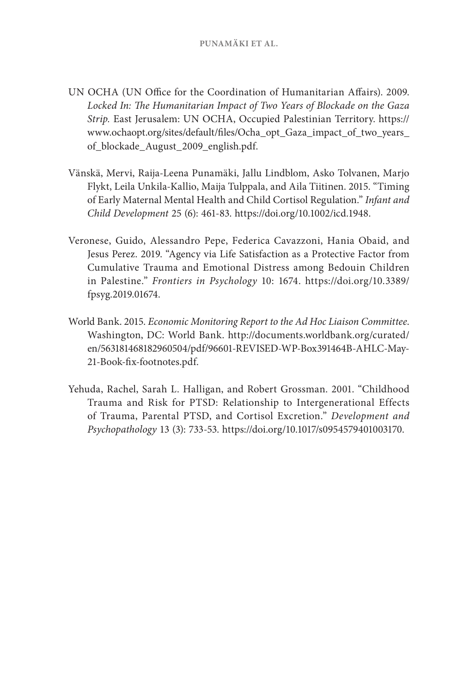- UN OCHA (UN Office for the Coordination of Humanitarian Affairs). 2009. *Locked In: The Humanitarian Impact of Two Years of Blockade on the Gaza Strip.* East Jerusalem: UN OCHA, Occupied Palestinian Territory. [https://](https://www.ochaopt.org/sites/default/files/Ocha_opt_Gaza_impact_of_two_years_of_blockade_August_2009_english.pdf) [www.ochaopt.org/sites/default/files/Ocha\\_opt\\_Gaza\\_impact\\_of\\_two\\_years\\_](https://www.ochaopt.org/sites/default/files/Ocha_opt_Gaza_impact_of_two_years_of_blockade_August_2009_english.pdf) [of\\_blockade\\_August\\_2009\\_english.pdf.](https://www.ochaopt.org/sites/default/files/Ocha_opt_Gaza_impact_of_two_years_of_blockade_August_2009_english.pdf)
- Vänskä, Mervi, Raija-Leena Punamäki, Jallu Lindblom, Asko Tolvanen, Marjo Flykt, Leila Unkila-Kallio, Maija Tulppala, and Aila Tiitinen. 2015. "Timing of Early Maternal Mental Health and Child Cortisol Regulation." *Infant and Child Development* 25 (6): 461-83. [https://doi.org/10.1002/icd.1948.](https://doi.org/10.1002/icd.1948)
- Veronese, Guido, Alessandro Pepe, Federica Cavazzoni, Hania Obaid, and Jesus Perez. 2019. "Agency via Life Satisfaction as a Protective Factor from Cumulative Trauma and Emotional Distress among Bedouin Children in Palestine." *Frontiers in Psychology* 10: 1674. [https://doi.org/10.3389/](https://doi.org/10.3389/fpsyg.2019.01674) [fpsyg.2019.01674](https://doi.org/10.3389/fpsyg.2019.01674).
- World Bank. 2015. *Economic Monitoring Report to the Ad Hoc Liaison Committee*. Washington, DC: World Bank. [http://documents.worldbank.org/curated/](http://documents.worldbank.org/curated/en/563181468182960504/pdf/96601-REVISED-WP-Box391464B-AHLC-May-21-Book-fix-footnotes.pdf) [en/563181468182960504/pdf/96601-REVISED-WP-Box391464B-AHLC-May-](http://documents.worldbank.org/curated/en/563181468182960504/pdf/96601-REVISED-WP-Box391464B-AHLC-May-21-Book-fix-footnotes.pdf)[21-Book-fix-footnotes.pdf.](http://documents.worldbank.org/curated/en/563181468182960504/pdf/96601-REVISED-WP-Box391464B-AHLC-May-21-Book-fix-footnotes.pdf)
- Yehuda, Rachel, Sarah L. Halligan, and Robert Grossman. 2001. "Childhood Trauma and Risk for PTSD: Relationship to Intergenerational Effects of Trauma, Parental PTSD, and Cortisol Excretion." *Development and Psychopathology* 13 (3): 733-53. [https://doi.org/10.1017/s0954579401003170.](https://doi.org/10.1017/s0954579401003170)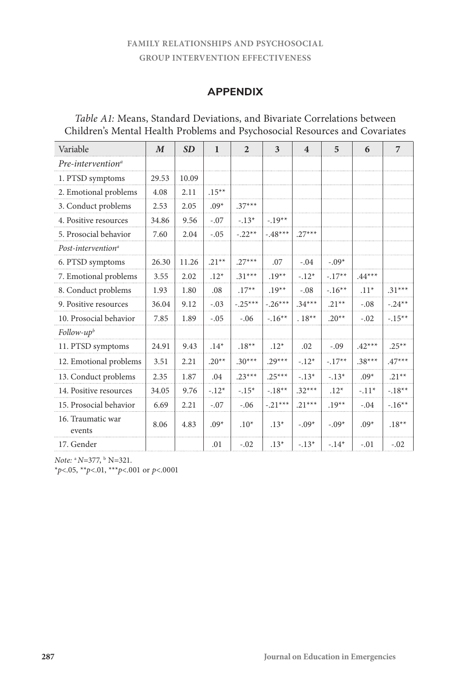# **APPENDIX**

| Variable                       | $\boldsymbol{M}$ | SD    | $\mathbf{1}$ | $\overline{2}$ | 3         | $\overline{4}$ | 5        | 6        | $\overline{7}$ |
|--------------------------------|------------------|-------|--------------|----------------|-----------|----------------|----------|----------|----------------|
| Pre-intervention <sup>a</sup>  |                  |       |              |                |           |                |          |          |                |
| 1. PTSD symptoms               | 29.53            | 10.09 |              |                |           |                |          |          |                |
| 2. Emotional problems          | 4.08             | 2.11  | $.15***$     |                |           |                |          |          |                |
| 3. Conduct problems            | 2.53             | 2.05  | $.09*$       | $.37***$       |           |                |          |          |                |
| 4. Positive resources          | 34.86            | 9.56  | $-.07$       | $-.13*$        | $-.19**$  |                |          |          |                |
| 5. Prosocial behavior          | 7.60             | 2.04  | $-.05$       | $-.22**$       | $-.48***$ | $.27***$       |          |          |                |
| Post-intervention <sup>a</sup> |                  |       |              |                |           |                |          |          |                |
| 6. PTSD symptoms               | 26.30            | 11.26 | $.21**$      | $.27***$       | .07       | $-.04$         | $-.09*$  |          |                |
| 7. Emotional problems          | 3.55             | 2.02  | $.12*$       | $.31***$       | $.19**$   | $-.12*$        | $-.17**$ | $.44***$ |                |
| 8. Conduct problems            | 1.93             | 1.80  | .08          | $.17**$        | $.19**$   | $-.08$         | $-16**$  | $.11*$   | $.31***$       |
| 9. Positive resources          | 36.04            | 9.12  | $-.03$       | $-.25***$      | $-.26***$ | $.34***$       | $.21**$  | $-.08$   | $-.24**$       |
| 10. Prosocial behavior         | 7.85             | 1.89  | $-.05$       | $-.06$         | $-.16**$  | $.18**$        | $.20**$  | $-.02$   | $-.15***$      |
| $Follow-upb$                   |                  |       |              |                |           |                |          |          |                |
| 11. PTSD symptoms              | 24.91            | 9.43  | $.14*$       | $.18**$        | $.12*$    | .02            | $-.09$   | $.42***$ | $.25**$        |
| 12. Emotional problems         | 3.51             | 2.21  | $.20**$      | $.30***$       | $.29***$  | $-.12*$        | $-.17**$ | $.38***$ | $.47***$       |
| 13. Conduct problems           | 2.35             | 1.87  | .04          | $.23***$       | $.25***$  | $-.13*$        | $-.13*$  | $.09*$   | $.21**$        |
| 14. Positive resources         | 34.05            | 9.76  | $-.12*$      | $-.15*$        | $-.18**$  | $.32***$       | $.12*$   | $-.11*$  | $-.18**$       |
| 15. Prosocial behavior         | 6.69             | 2.21  | $-.07$       | $-.06$         | $-.21***$ | $.21***$       | $.19**$  | $-.04$   | $-.16**$       |
| 16. Traumatic war<br>events    | 8.06             | 4.83  | $.09*$       | $.10*$         | $.13*$    | $-.09*$        | $-.09*$  | $.09*$   | $.18***$       |
| 17. Gender                     |                  |       | .01          | $-.02$         | $.13*$    | $-.13*$        | $-.14*$  | $-.01$   | $-.02$         |

## *Table A1:* Means, Standard Deviations, and Bivariate Correlations between Children's Mental Health Problems and Psychosocial Resources and Covariates

*Note:* <sup>a</sup>*N*=377, b N=321.

\**p*<.05, \*\**p*<.01, \*\*\**p*<.001 or *p*<.0001